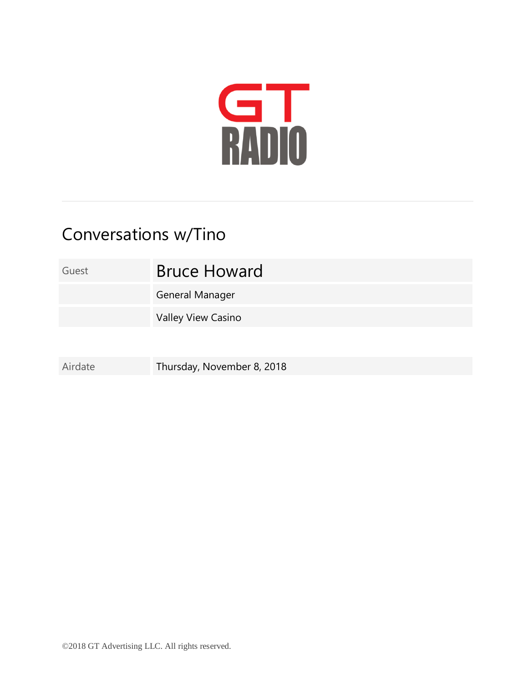

## Conversations w/Tino

Guest **Bruce Howard** 

General Manager

Valley View Casino

Airdate Thursday, November 8, 2018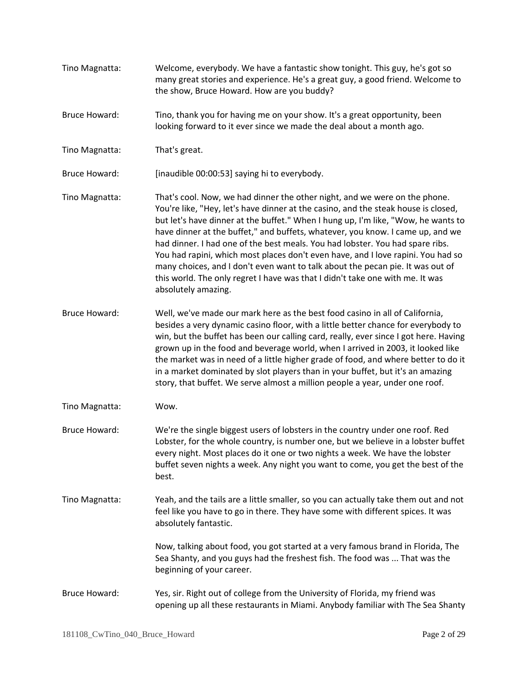Tino Magnatta: Welcome, everybody. We have a fantastic show tonight. This guy, he's got so many great stories and experience. He's a great guy, a good friend. Welcome to the show, Bruce Howard. How are you buddy? Bruce Howard: Tino, thank you for having me on your show. It's a great opportunity, been looking forward to it ever since we made the deal about a month ago. Tino Magnatta: That's great. Bruce Howard: [inaudible 00:00:53] saying hi to everybody. Tino Magnatta: That's cool. Now, we had dinner the other night, and we were on the phone. You're like, "Hey, let's have dinner at the casino, and the steak house is closed, but let's have dinner at the buffet." When I hung up, I'm like, "Wow, he wants to have dinner at the buffet," and buffets, whatever, you know. I came up, and we had dinner. I had one of the best meals. You had lobster. You had spare ribs. You had rapini, which most places don't even have, and I love rapini. You had so many choices, and I don't even want to talk about the pecan pie. It was out of this world. The only regret I have was that I didn't take one with me. It was absolutely amazing. Bruce Howard: Well, we've made our mark here as the best food casino in all of California, besides a very dynamic casino floor, with a little better chance for everybody to win, but the buffet has been our calling card, really, ever since I got here. Having grown up in the food and beverage world, when I arrived in 2003, it looked like the market was in need of a little higher grade of food, and where better to do it in a market dominated by slot players than in your buffet, but it's an amazing story, that buffet. We serve almost a million people a year, under one roof. Tino Magnatta: Wow. Bruce Howard: We're the single biggest users of lobsters in the country under one roof. Red Lobster, for the whole country, is number one, but we believe in a lobster buffet every night. Most places do it one or two nights a week. We have the lobster buffet seven nights a week. Any night you want to come, you get the best of the best. Tino Magnatta: Yeah, and the tails are a little smaller, so you can actually take them out and not feel like you have to go in there. They have some with different spices. It was absolutely fantastic. Now, talking about food, you got started at a very famous brand in Florida, The Sea Shanty, and you guys had the freshest fish. The food was ... That was the beginning of your career. Bruce Howard: Yes, sir. Right out of college from the University of Florida, my friend was opening up all these restaurants in Miami. Anybody familiar with The Sea Shanty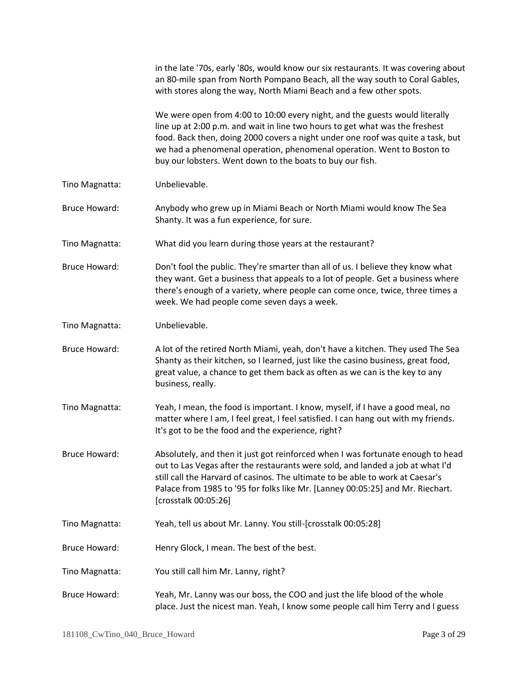|                      | in the late '70s, early '80s, would know our six restaurants. It was covering about<br>an 80-mile span from North Pompano Beach, all the way south to Coral Gables,<br>with stores along the way, North Miami Beach and a few other spots.                                                                                                                                            |
|----------------------|---------------------------------------------------------------------------------------------------------------------------------------------------------------------------------------------------------------------------------------------------------------------------------------------------------------------------------------------------------------------------------------|
|                      | We were open from 4:00 to 10:00 every night, and the guests would literally<br>line up at 2:00 p.m. and wait in line two hours to get what was the freshest<br>food. Back then, doing 2000 covers a night under one roof was quite a task, but<br>we had a phenomenal operation, phenomenal operation. Went to Boston to<br>buy our lobsters. Went down to the boats to buy our fish. |
| Tino Magnatta:       | Unbelievable.                                                                                                                                                                                                                                                                                                                                                                         |
| <b>Bruce Howard:</b> | Anybody who grew up in Miami Beach or North Miami would know The Sea<br>Shanty. It was a fun experience, for sure.                                                                                                                                                                                                                                                                    |
| Tino Magnatta:       | What did you learn during those years at the restaurant?                                                                                                                                                                                                                                                                                                                              |
| Bruce Howard:        | Don't fool the public. They're smarter than all of us. I believe they know what<br>they want. Get a business that appeals to a lot of people. Get a business where<br>there's enough of a variety, where people can come once, twice, three times a<br>week. We had people come seven days a week.                                                                                    |
| Tino Magnatta:       | Unbelievable.                                                                                                                                                                                                                                                                                                                                                                         |
| <b>Bruce Howard:</b> | A lot of the retired North Miami, yeah, don't have a kitchen. They used The Sea<br>Shanty as their kitchen, so I learned, just like the casino business, great food,<br>great value, a chance to get them back as often as we can is the key to any<br>business, really.                                                                                                              |
| Tino Magnatta:       | Yeah, I mean, the food is important. I know, myself, if I have a good meal, no<br>matter where I am, I feel great, I feel satisfied. I can hang out with my friends.<br>It's got to be the food and the experience, right?                                                                                                                                                            |
| <b>Bruce Howard:</b> | Absolutely, and then it just got reinforced when I was fortunate enough to head<br>out to Las Vegas after the restaurants were sold, and landed a job at what I'd<br>still call the Harvard of casinos. The ultimate to be able to work at Caesar's<br>Palace from 1985 to '95 for folks like Mr. [Lanney 00:05:25] and Mr. Riechart.<br>[crosstalk 00:05:26]                         |
| Tino Magnatta:       | Yeah, tell us about Mr. Lanny. You still-[crosstalk 00:05:28]                                                                                                                                                                                                                                                                                                                         |
| <b>Bruce Howard:</b> | Henry Glock, I mean. The best of the best.                                                                                                                                                                                                                                                                                                                                            |
| Tino Magnatta:       | You still call him Mr. Lanny, right?                                                                                                                                                                                                                                                                                                                                                  |
| <b>Bruce Howard:</b> | Yeah, Mr. Lanny was our boss, the COO and just the life blood of the whole<br>place. Just the nicest man. Yeah, I know some people call him Terry and I guess                                                                                                                                                                                                                         |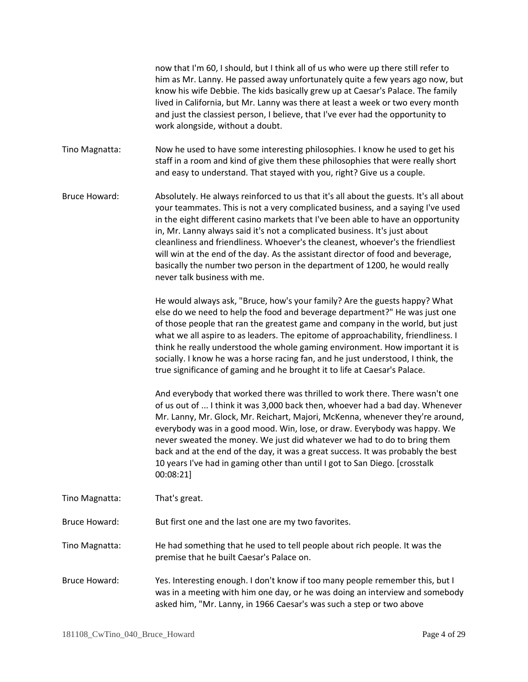now that I'm 60, I should, but I think all of us who were up there still refer to him as Mr. Lanny. He passed away unfortunately quite a few years ago now, but know his wife Debbie. The kids basically grew up at Caesar's Palace. The family lived in California, but Mr. Lanny was there at least a week or two every month and just the classiest person, I believe, that I've ever had the opportunity to work alongside, without a doubt.

Tino Magnatta: Now he used to have some interesting philosophies. I know he used to get his staff in a room and kind of give them these philosophies that were really short and easy to understand. That stayed with you, right? Give us a couple.

Bruce Howard: Absolutely. He always reinforced to us that it's all about the guests. It's all about your teammates. This is not a very complicated business, and a saying I've used in the eight different casino markets that I've been able to have an opportunity in, Mr. Lanny always said it's not a complicated business. It's just about cleanliness and friendliness. Whoever's the cleanest, whoever's the friendliest will win at the end of the day. As the assistant director of food and beverage, basically the number two person in the department of 1200, he would really never talk business with me.

> He would always ask, "Bruce, how's your family? Are the guests happy? What else do we need to help the food and beverage department?" He was just one of those people that ran the greatest game and company in the world, but just what we all aspire to as leaders. The epitome of approachability, friendliness. I think he really understood the whole gaming environment. How important it is socially. I know he was a horse racing fan, and he just understood, I think, the true significance of gaming and he brought it to life at Caesar's Palace.

And everybody that worked there was thrilled to work there. There wasn't one of us out of ... I think it was 3,000 back then, whoever had a bad day. Whenever Mr. Lanny, Mr. Glock, Mr. Reichart, Majori, McKenna, whenever they're around, everybody was in a good mood. Win, lose, or draw. Everybody was happy. We never sweated the money. We just did whatever we had to do to bring them back and at the end of the day, it was a great success. It was probably the best 10 years I've had in gaming other than until I got to San Diego. [crosstalk 00:08:21]

Tino Magnatta: That's great.

Bruce Howard: But first one and the last one are my two favorites.

Tino Magnatta: He had something that he used to tell people about rich people. It was the premise that he built Caesar's Palace on.

Bruce Howard: Yes. Interesting enough. I don't know if too many people remember this, but I was in a meeting with him one day, or he was doing an interview and somebody asked him, "Mr. Lanny, in 1966 Caesar's was such a step or two above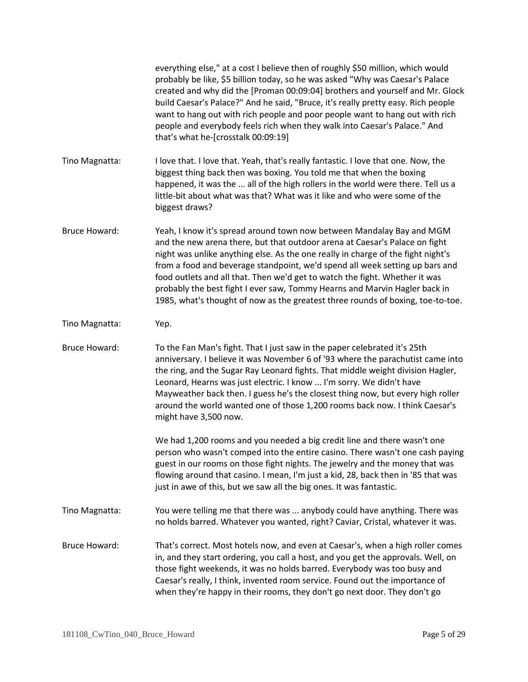|                      | everything else," at a cost I believe then of roughly \$50 million, which would<br>probably be like, \$5 billion today, so he was asked "Why was Caesar's Palace<br>created and why did the [Proman 00:09:04] brothers and yourself and Mr. Glock<br>build Caesar's Palace?" And he said, "Bruce, it's really pretty easy. Rich people<br>want to hang out with rich people and poor people want to hang out with rich<br>people and everybody feels rich when they walk into Caesar's Palace." And<br>that's what he-[crosstalk 00:09:19]                               |
|----------------------|--------------------------------------------------------------------------------------------------------------------------------------------------------------------------------------------------------------------------------------------------------------------------------------------------------------------------------------------------------------------------------------------------------------------------------------------------------------------------------------------------------------------------------------------------------------------------|
| Tino Magnatta:       | I love that. I love that. Yeah, that's really fantastic. I love that one. Now, the<br>biggest thing back then was boxing. You told me that when the boxing<br>happened, it was the  all of the high rollers in the world were there. Tell us a<br>little-bit about what was that? What was it like and who were some of the<br>biggest draws?                                                                                                                                                                                                                            |
| <b>Bruce Howard:</b> | Yeah, I know it's spread around town now between Mandalay Bay and MGM<br>and the new arena there, but that outdoor arena at Caesar's Palace on fight<br>night was unlike anything else. As the one really in charge of the fight night's<br>from a food and beverage standpoint, we'd spend all week setting up bars and<br>food outlets and all that. Then we'd get to watch the fight. Whether it was<br>probably the best fight I ever saw, Tommy Hearns and Marvin Hagler back in<br>1985, what's thought of now as the greatest three rounds of boxing, toe-to-toe. |
| Tino Magnatta:       | Yep.                                                                                                                                                                                                                                                                                                                                                                                                                                                                                                                                                                     |
| <b>Bruce Howard:</b> | To the Fan Man's fight. That I just saw in the paper celebrated it's 25th<br>anniversary. I believe it was November 6 of '93 where the parachutist came into<br>the ring, and the Sugar Ray Leonard fights. That middle weight division Hagler,<br>Leonard, Hearns was just electric. I know  I'm sorry. We didn't have<br>Mayweather back then. I guess he's the closest thing now, but every high roller<br>around the world wanted one of those 1,200 rooms back now. I think Caesar's<br>might have 3,500 now.                                                       |
|                      | We had 1,200 rooms and you needed a big credit line and there wasn't one<br>person who wasn't comped into the entire casino. There wasn't one cash paying<br>guest in our rooms on those fight nights. The jewelry and the money that was<br>flowing around that casino. I mean, I'm just a kid, 28, back then in '85 that was<br>just in awe of this, but we saw all the big ones. It was fantastic.                                                                                                                                                                    |
| Tino Magnatta:       | You were telling me that there was  anybody could have anything. There was<br>no holds barred. Whatever you wanted, right? Caviar, Cristal, whatever it was.                                                                                                                                                                                                                                                                                                                                                                                                             |
| <b>Bruce Howard:</b> | That's correct. Most hotels now, and even at Caesar's, when a high roller comes<br>in, and they start ordering, you call a host, and you get the approvals. Well, on<br>those fight weekends, it was no holds barred. Everybody was too busy and<br>Caesar's really, I think, invented room service. Found out the importance of<br>when they're happy in their rooms, they don't go next door. They don't go                                                                                                                                                            |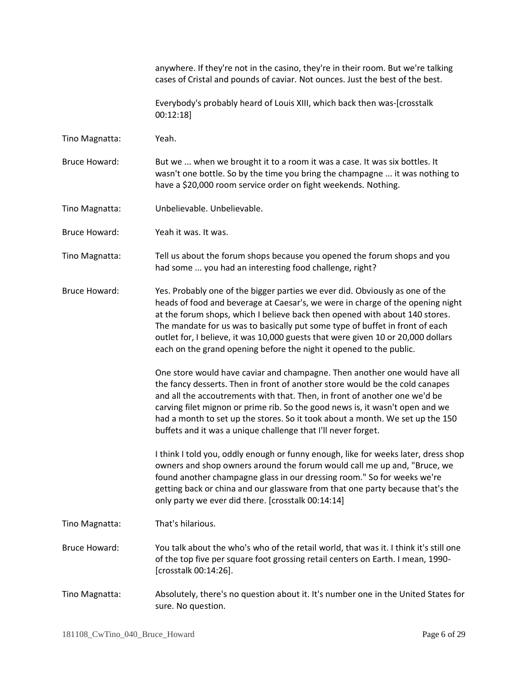anywhere. If they're not in the casino, they're in their room. But we're talking cases of Cristal and pounds of caviar. Not ounces. Just the best of the best.

Everybody's probably heard of Louis XIII, which back then was-[crosstalk 00:12:18]

Tino Magnatta: Yeah.

Bruce Howard: But we ... when we brought it to a room it was a case. It was six bottles. It wasn't one bottle. So by the time you bring the champagne ... it was nothing to have a \$20,000 room service order on fight weekends. Nothing.

Tino Magnatta: Unbelievable. Unbelievable.

Bruce Howard: Yeah it was. It was.

Tino Magnatta: Tell us about the forum shops because you opened the forum shops and you had some ... you had an interesting food challenge, right?

Bruce Howard: Yes. Probably one of the bigger parties we ever did. Obviously as one of the heads of food and beverage at Caesar's, we were in charge of the opening night at the forum shops, which I believe back then opened with about 140 stores. The mandate for us was to basically put some type of buffet in front of each outlet for, I believe, it was 10,000 guests that were given 10 or 20,000 dollars each on the grand opening before the night it opened to the public.

> One store would have caviar and champagne. Then another one would have all the fancy desserts. Then in front of another store would be the cold canapes and all the accoutrements with that. Then, in front of another one we'd be carving filet mignon or prime rib. So the good news is, it wasn't open and we had a month to set up the stores. So it took about a month. We set up the 150 buffets and it was a unique challenge that I'll never forget.

I think I told you, oddly enough or funny enough, like for weeks later, dress shop owners and shop owners around the forum would call me up and, "Bruce, we found another champagne glass in our dressing room." So for weeks we're getting back or china and our glassware from that one party because that's the only party we ever did there. [crosstalk 00:14:14]

Tino Magnatta: That's hilarious.

Bruce Howard: You talk about the who's who of the retail world, that was it. I think it's still one of the top five per square foot grossing retail centers on Earth. I mean, 1990- [crosstalk 00:14:26].

Tino Magnatta: Absolutely, there's no question about it. It's number one in the United States for sure. No question.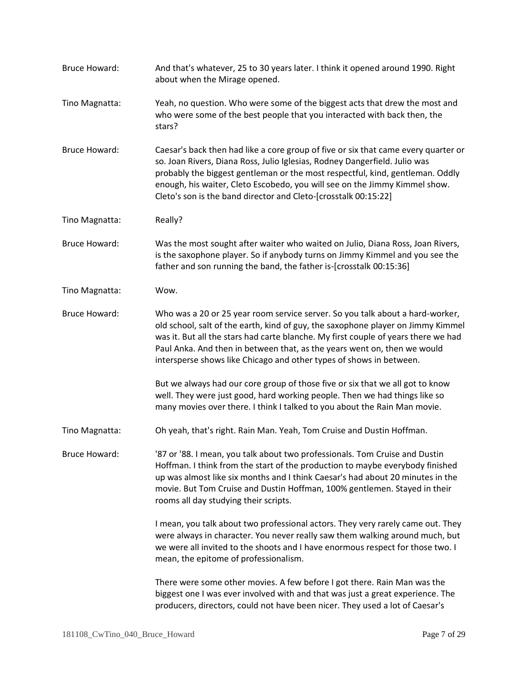| <b>Bruce Howard:</b> | And that's whatever, 25 to 30 years later. I think it opened around 1990. Right<br>about when the Mirage opened.                                                                                                                                                                                                                                                                                           |
|----------------------|------------------------------------------------------------------------------------------------------------------------------------------------------------------------------------------------------------------------------------------------------------------------------------------------------------------------------------------------------------------------------------------------------------|
| Tino Magnatta:       | Yeah, no question. Who were some of the biggest acts that drew the most and<br>who were some of the best people that you interacted with back then, the<br>stars?                                                                                                                                                                                                                                          |
| <b>Bruce Howard:</b> | Caesar's back then had like a core group of five or six that came every quarter or<br>so. Joan Rivers, Diana Ross, Julio Iglesias, Rodney Dangerfield. Julio was<br>probably the biggest gentleman or the most respectful, kind, gentleman. Oddly<br>enough, his waiter, Cleto Escobedo, you will see on the Jimmy Kimmel show.<br>Cleto's son is the band director and Cleto-[crosstalk 00:15:22]         |
| Tino Magnatta:       | Really?                                                                                                                                                                                                                                                                                                                                                                                                    |
| <b>Bruce Howard:</b> | Was the most sought after waiter who waited on Julio, Diana Ross, Joan Rivers,<br>is the saxophone player. So if anybody turns on Jimmy Kimmel and you see the<br>father and son running the band, the father is-[crosstalk 00:15:36]                                                                                                                                                                      |
| Tino Magnatta:       | Wow.                                                                                                                                                                                                                                                                                                                                                                                                       |
| <b>Bruce Howard:</b> | Who was a 20 or 25 year room service server. So you talk about a hard-worker,<br>old school, salt of the earth, kind of guy, the saxophone player on Jimmy Kimmel<br>was it. But all the stars had carte blanche. My first couple of years there we had<br>Paul Anka. And then in between that, as the years went on, then we would<br>intersperse shows like Chicago and other types of shows in between. |
|                      | But we always had our core group of those five or six that we all got to know<br>well. They were just good, hard working people. Then we had things like so<br>many movies over there. I think I talked to you about the Rain Man movie.                                                                                                                                                                   |
| Tino Magnatta:       | Oh yeah, that's right. Rain Man. Yeah, Tom Cruise and Dustin Hoffman.                                                                                                                                                                                                                                                                                                                                      |
| <b>Bruce Howard:</b> | '87 or '88. I mean, you talk about two professionals. Tom Cruise and Dustin<br>Hoffman. I think from the start of the production to maybe everybody finished<br>up was almost like six months and I think Caesar's had about 20 minutes in the<br>movie. But Tom Cruise and Dustin Hoffman, 100% gentlemen. Stayed in their<br>rooms all day studying their scripts.                                       |
|                      | I mean, you talk about two professional actors. They very rarely came out. They<br>were always in character. You never really saw them walking around much, but<br>we were all invited to the shoots and I have enormous respect for those two. I<br>mean, the epitome of professionalism.                                                                                                                 |
|                      | There were some other movies. A few before I got there. Rain Man was the<br>biggest one I was ever involved with and that was just a great experience. The<br>producers, directors, could not have been nicer. They used a lot of Caesar's                                                                                                                                                                 |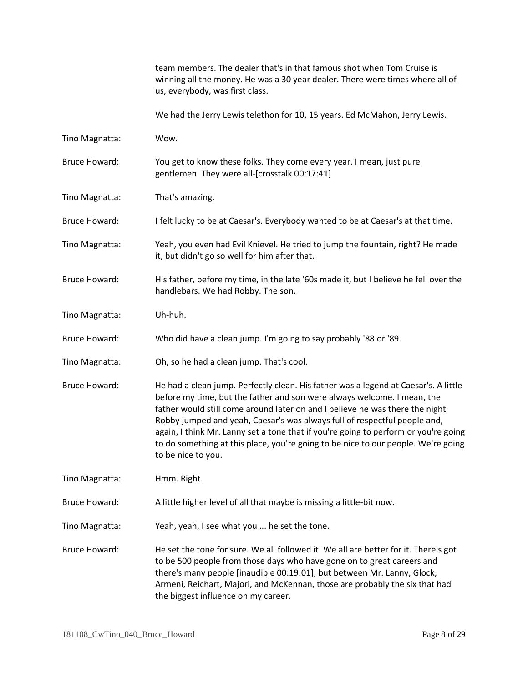team members. The dealer that's in that famous shot when Tom Cruise is winning all the money. He was a 30 year dealer. There were times where all of us, everybody, was first class.

We had the Jerry Lewis telethon for 10, 15 years. Ed McMahon, Jerry Lewis.

- Tino Magnatta: Wow.
- Bruce Howard: You get to know these folks. They come every year. I mean, just pure gentlemen. They were all-[crosstalk 00:17:41]
- Tino Magnatta: That's amazing.
- Bruce Howard: I felt lucky to be at Caesar's. Everybody wanted to be at Caesar's at that time.
- Tino Magnatta: Yeah, you even had Evil Knievel. He tried to jump the fountain, right? He made it, but didn't go so well for him after that.
- Bruce Howard: His father, before my time, in the late '60s made it, but I believe he fell over the handlebars. We had Robby. The son.
- Tino Magnatta: Uh-huh.
- Bruce Howard: Who did have a clean jump. I'm going to say probably '88 or '89.
- Tino Magnatta: Oh, so he had a clean jump. That's cool.
- Bruce Howard: He had a clean jump. Perfectly clean. His father was a legend at Caesar's. A little before my time, but the father and son were always welcome. I mean, the father would still come around later on and I believe he was there the night Robby jumped and yeah, Caesar's was always full of respectful people and, again, I think Mr. Lanny set a tone that if you're going to perform or you're going to do something at this place, you're going to be nice to our people. We're going to be nice to you.
- Tino Magnatta: Hmm. Right.
- Bruce Howard: A little higher level of all that maybe is missing a little-bit now.
- Tino Magnatta: Yeah, yeah, I see what you ... he set the tone.

Bruce Howard: He set the tone for sure. We all followed it. We all are better for it. There's got to be 500 people from those days who have gone on to great careers and there's many people [inaudible 00:19:01], but between Mr. Lanny, Glock, Armeni, Reichart, Majori, and McKennan, those are probably the six that had the biggest influence on my career.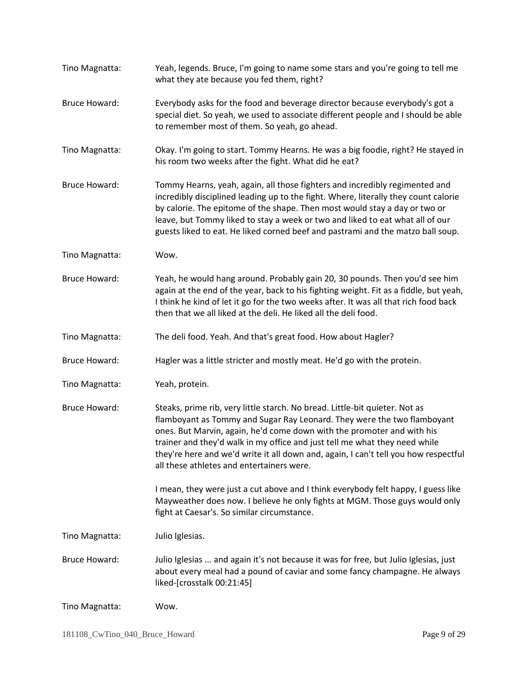| Tino Magnatta:       | Yeah, legends. Bruce, I'm going to name some stars and you're going to tell me<br>what they ate because you fed them, right?                                                                                                                                                                                                                                                                                                                       |
|----------------------|----------------------------------------------------------------------------------------------------------------------------------------------------------------------------------------------------------------------------------------------------------------------------------------------------------------------------------------------------------------------------------------------------------------------------------------------------|
| <b>Bruce Howard:</b> | Everybody asks for the food and beverage director because everybody's got a<br>special diet. So yeah, we used to associate different people and I should be able<br>to remember most of them. So yeah, go ahead.                                                                                                                                                                                                                                   |
| Tino Magnatta:       | Okay. I'm going to start. Tommy Hearns. He was a big foodie, right? He stayed in<br>his room two weeks after the fight. What did he eat?                                                                                                                                                                                                                                                                                                           |
| <b>Bruce Howard:</b> | Tommy Hearns, yeah, again, all those fighters and incredibly regimented and<br>incredibly disciplined leading up to the fight. Where, literally they count calorie<br>by calorie. The epitome of the shape. Then most would stay a day or two or<br>leave, but Tommy liked to stay a week or two and liked to eat what all of our<br>guests liked to eat. He liked corned beef and pastrami and the matzo ball soup.                               |
| Tino Magnatta:       | Wow.                                                                                                                                                                                                                                                                                                                                                                                                                                               |
| <b>Bruce Howard:</b> | Yeah, he would hang around. Probably gain 20, 30 pounds. Then you'd see him<br>again at the end of the year, back to his fighting weight. Fit as a fiddle, but yeah,<br>I think he kind of let it go for the two weeks after. It was all that rich food back<br>then that we all liked at the deli. He liked all the deli food.                                                                                                                    |
| Tino Magnatta:       | The deli food. Yeah. And that's great food. How about Hagler?                                                                                                                                                                                                                                                                                                                                                                                      |
| <b>Bruce Howard:</b> | Hagler was a little stricter and mostly meat. He'd go with the protein.                                                                                                                                                                                                                                                                                                                                                                            |
| Tino Magnatta:       | Yeah, protein.                                                                                                                                                                                                                                                                                                                                                                                                                                     |
| <b>Bruce Howard:</b> | Steaks, prime rib, very little starch. No bread. Little-bit quieter. Not as<br>flamboyant as Tommy and Sugar Ray Leonard. They were the two flamboyant<br>ones. But Marvin, again, he'd come down with the promoter and with his<br>trainer and they'd walk in my office and just tell me what they need while<br>they're here and we'd write it all down and, again, I can't tell you how respectful<br>all these athletes and entertainers were. |
|                      | I mean, they were just a cut above and I think everybody felt happy, I guess like<br>Mayweather does now. I believe he only fights at MGM. Those guys would only<br>fight at Caesar's. So similar circumstance.                                                                                                                                                                                                                                    |
| Tino Magnatta:       | Julio Iglesias.                                                                                                                                                                                                                                                                                                                                                                                                                                    |
| <b>Bruce Howard:</b> | Julio Iglesias  and again it's not because it was for free, but Julio Iglesias, just<br>about every meal had a pound of caviar and some fancy champagne. He always<br>liked-[crosstalk 00:21:45]                                                                                                                                                                                                                                                   |
| Tino Magnatta:       | Wow.                                                                                                                                                                                                                                                                                                                                                                                                                                               |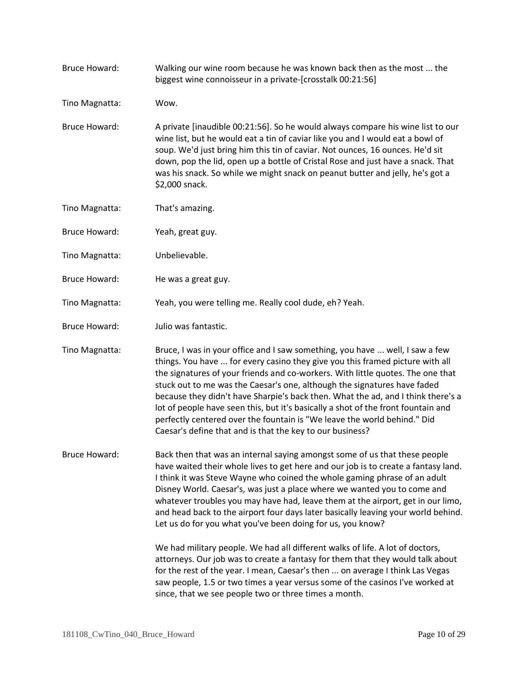| <b>Bruce Howard:</b> | Walking our wine room because he was known back then as the most  the<br>biggest wine connoisseur in a private-[crosstalk 00:21:56]                                                                                                                                                                                                                                                                                                                                                                                                                                                                                                                                                                                                                                                                                 |
|----------------------|---------------------------------------------------------------------------------------------------------------------------------------------------------------------------------------------------------------------------------------------------------------------------------------------------------------------------------------------------------------------------------------------------------------------------------------------------------------------------------------------------------------------------------------------------------------------------------------------------------------------------------------------------------------------------------------------------------------------------------------------------------------------------------------------------------------------|
| Tino Magnatta:       | Wow.                                                                                                                                                                                                                                                                                                                                                                                                                                                                                                                                                                                                                                                                                                                                                                                                                |
| <b>Bruce Howard:</b> | A private [inaudible 00:21:56]. So he would always compare his wine list to our<br>wine list, but he would eat a tin of caviar like you and I would eat a bowl of<br>soup. We'd just bring him this tin of caviar. Not ounces, 16 ounces. He'd sit<br>down, pop the lid, open up a bottle of Cristal Rose and just have a snack. That<br>was his snack. So while we might snack on peanut butter and jelly, he's got a<br>\$2,000 snack.                                                                                                                                                                                                                                                                                                                                                                            |
| Tino Magnatta:       | That's amazing.                                                                                                                                                                                                                                                                                                                                                                                                                                                                                                                                                                                                                                                                                                                                                                                                     |
| <b>Bruce Howard:</b> | Yeah, great guy.                                                                                                                                                                                                                                                                                                                                                                                                                                                                                                                                                                                                                                                                                                                                                                                                    |
| Tino Magnatta:       | Unbelievable.                                                                                                                                                                                                                                                                                                                                                                                                                                                                                                                                                                                                                                                                                                                                                                                                       |
| <b>Bruce Howard:</b> | He was a great guy.                                                                                                                                                                                                                                                                                                                                                                                                                                                                                                                                                                                                                                                                                                                                                                                                 |
| Tino Magnatta:       | Yeah, you were telling me. Really cool dude, eh? Yeah.                                                                                                                                                                                                                                                                                                                                                                                                                                                                                                                                                                                                                                                                                                                                                              |
| <b>Bruce Howard:</b> | Julio was fantastic.                                                                                                                                                                                                                                                                                                                                                                                                                                                                                                                                                                                                                                                                                                                                                                                                |
| Tino Magnatta:       | Bruce, I was in your office and I saw something, you have  well, I saw a few<br>things. You have  for every casino they give you this framed picture with all<br>the signatures of your friends and co-workers. With little quotes. The one that<br>stuck out to me was the Caesar's one, although the signatures have faded<br>because they didn't have Sharpie's back then. What the ad, and I think there's a<br>lot of people have seen this, but it's basically a shot of the front fountain and<br>perfectly centered over the fountain is "We leave the world behind." Did<br>Caesar's define that and is that the key to our business?                                                                                                                                                                      |
| <b>Bruce Howard:</b> | Back then that was an internal saying amongst some of us that these people<br>have waited their whole lives to get here and our job is to create a fantasy land.<br>I think it was Steve Wayne who coined the whole gaming phrase of an adult<br>Disney World. Caesar's, was just a place where we wanted you to come and<br>whatever troubles you may have had, leave them at the airport, get in our limo,<br>and head back to the airport four days later basically leaving your world behind.<br>Let us do for you what you've been doing for us, you know?<br>We had military people. We had all different walks of life. A lot of doctors,<br>attorneys. Our job was to create a fantasy for them that they would talk about<br>for the rest of the year. I mean, Caesar's then  on average I think Las Vegas |
|                      | saw people, 1.5 or two times a year versus some of the casinos I've worked at<br>since, that we see people two or three times a month.                                                                                                                                                                                                                                                                                                                                                                                                                                                                                                                                                                                                                                                                              |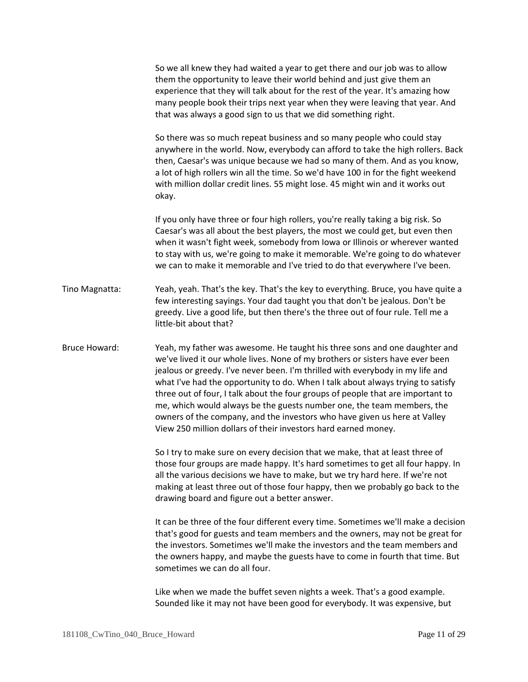|                      | So we all knew they had waited a year to get there and our job was to allow<br>them the opportunity to leave their world behind and just give them an<br>experience that they will talk about for the rest of the year. It's amazing how<br>many people book their trips next year when they were leaving that year. And<br>that was always a good sign to us that we did something right.                                                                                                                                                                                                                                                   |
|----------------------|----------------------------------------------------------------------------------------------------------------------------------------------------------------------------------------------------------------------------------------------------------------------------------------------------------------------------------------------------------------------------------------------------------------------------------------------------------------------------------------------------------------------------------------------------------------------------------------------------------------------------------------------|
|                      | So there was so much repeat business and so many people who could stay<br>anywhere in the world. Now, everybody can afford to take the high rollers. Back<br>then, Caesar's was unique because we had so many of them. And as you know,<br>a lot of high rollers win all the time. So we'd have 100 in for the fight weekend<br>with million dollar credit lines. 55 might lose. 45 might win and it works out<br>okay.                                                                                                                                                                                                                      |
|                      | If you only have three or four high rollers, you're really taking a big risk. So<br>Caesar's was all about the best players, the most we could get, but even then<br>when it wasn't fight week, somebody from Iowa or Illinois or wherever wanted<br>to stay with us, we're going to make it memorable. We're going to do whatever<br>we can to make it memorable and I've tried to do that everywhere I've been.                                                                                                                                                                                                                            |
| Tino Magnatta:       | Yeah, yeah. That's the key. That's the key to everything. Bruce, you have quite a<br>few interesting sayings. Your dad taught you that don't be jealous. Don't be<br>greedy. Live a good life, but then there's the three out of four rule. Tell me a<br>little-bit about that?                                                                                                                                                                                                                                                                                                                                                              |
| <b>Bruce Howard:</b> | Yeah, my father was awesome. He taught his three sons and one daughter and<br>we've lived it our whole lives. None of my brothers or sisters have ever been<br>jealous or greedy. I've never been. I'm thrilled with everybody in my life and<br>what I've had the opportunity to do. When I talk about always trying to satisfy<br>three out of four, I talk about the four groups of people that are important to<br>me, which would always be the guests number one, the team members, the<br>owners of the company, and the investors who have given us here at Valley<br>View 250 million dollars of their investors hard earned money. |
|                      | So I try to make sure on every decision that we make, that at least three of<br>those four groups are made happy. It's hard sometimes to get all four happy. In<br>all the various decisions we have to make, but we try hard here. If we're not<br>making at least three out of those four happy, then we probably go back to the<br>drawing board and figure out a better answer.                                                                                                                                                                                                                                                          |
|                      | It can be three of the four different every time. Sometimes we'll make a decision<br>that's good for guests and team members and the owners, may not be great for<br>the investors. Sometimes we'll make the investors and the team members and                                                                                                                                                                                                                                                                                                                                                                                              |

Like when we made the buffet seven nights a week. That's a good example. Sounded like it may not have been good for everybody. It was expensive, but

the owners happy, and maybe the guests have to come in fourth that time. But

sometimes we can do all four.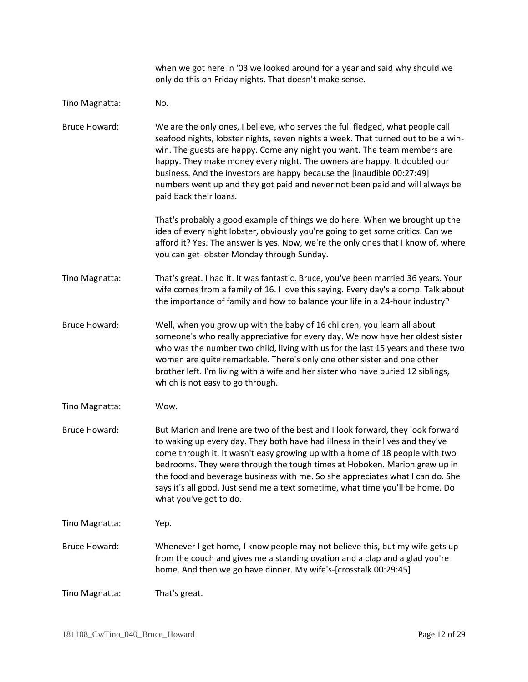|                      | when we got here in '03 we looked around for a year and said why should we<br>only do this on Friday nights. That doesn't make sense.                                                                                                                                                                                                                                                                                                                                                                                     |
|----------------------|---------------------------------------------------------------------------------------------------------------------------------------------------------------------------------------------------------------------------------------------------------------------------------------------------------------------------------------------------------------------------------------------------------------------------------------------------------------------------------------------------------------------------|
| Tino Magnatta:       | No.                                                                                                                                                                                                                                                                                                                                                                                                                                                                                                                       |
| <b>Bruce Howard:</b> | We are the only ones, I believe, who serves the full fledged, what people call<br>seafood nights, lobster nights, seven nights a week. That turned out to be a win-<br>win. The guests are happy. Come any night you want. The team members are<br>happy. They make money every night. The owners are happy. It doubled our<br>business. And the investors are happy because the [inaudible 00:27:49]<br>numbers went up and they got paid and never not been paid and will always be<br>paid back their loans.           |
|                      | That's probably a good example of things we do here. When we brought up the<br>idea of every night lobster, obviously you're going to get some critics. Can we<br>afford it? Yes. The answer is yes. Now, we're the only ones that I know of, where<br>you can get lobster Monday through Sunday.                                                                                                                                                                                                                         |
| Tino Magnatta:       | That's great. I had it. It was fantastic. Bruce, you've been married 36 years. Your<br>wife comes from a family of 16. I love this saying. Every day's a comp. Talk about<br>the importance of family and how to balance your life in a 24-hour industry?                                                                                                                                                                                                                                                                 |
| <b>Bruce Howard:</b> | Well, when you grow up with the baby of 16 children, you learn all about<br>someone's who really appreciative for every day. We now have her oldest sister<br>who was the number two child, living with us for the last 15 years and these two<br>women are quite remarkable. There's only one other sister and one other<br>brother left. I'm living with a wife and her sister who have buried 12 siblings,<br>which is not easy to go through.                                                                         |
| Tino Magnatta:       | Wow.                                                                                                                                                                                                                                                                                                                                                                                                                                                                                                                      |
| <b>Bruce Howard:</b> | But Marion and Irene are two of the best and I look forward, they look forward<br>to waking up every day. They both have had illness in their lives and they've<br>come through it. It wasn't easy growing up with a home of 18 people with two<br>bedrooms. They were through the tough times at Hoboken. Marion grew up in<br>the food and beverage business with me. So she appreciates what I can do. She<br>says it's all good. Just send me a text sometime, what time you'll be home. Do<br>what you've got to do. |
| Tino Magnatta:       | Yep.                                                                                                                                                                                                                                                                                                                                                                                                                                                                                                                      |
| <b>Bruce Howard:</b> | Whenever I get home, I know people may not believe this, but my wife gets up<br>from the couch and gives me a standing ovation and a clap and a glad you're<br>home. And then we go have dinner. My wife's-[crosstalk 00:29:45]                                                                                                                                                                                                                                                                                           |
| Tino Magnatta:       | That's great.                                                                                                                                                                                                                                                                                                                                                                                                                                                                                                             |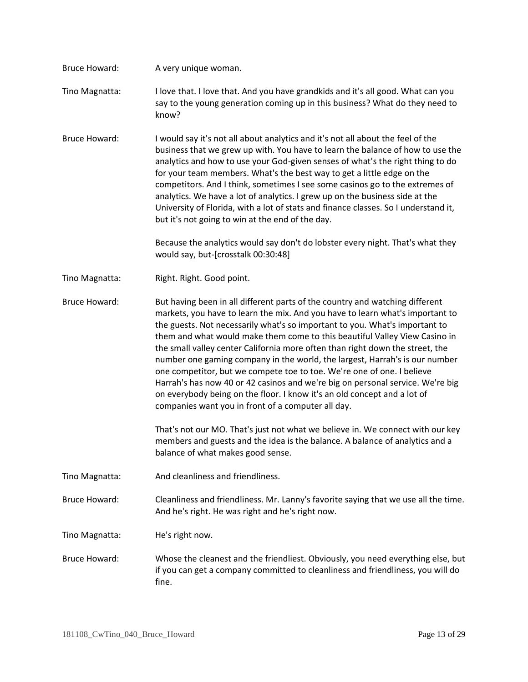| Bruce Howard:        | A very unique woman.                                                                                                                                                                                                                                                                                                                                                                                                                                                                                                                                                                                                                                                                                                                                                                     |
|----------------------|------------------------------------------------------------------------------------------------------------------------------------------------------------------------------------------------------------------------------------------------------------------------------------------------------------------------------------------------------------------------------------------------------------------------------------------------------------------------------------------------------------------------------------------------------------------------------------------------------------------------------------------------------------------------------------------------------------------------------------------------------------------------------------------|
| Tino Magnatta:       | I love that. I love that. And you have grandkids and it's all good. What can you<br>say to the young generation coming up in this business? What do they need to<br>know?                                                                                                                                                                                                                                                                                                                                                                                                                                                                                                                                                                                                                |
| <b>Bruce Howard:</b> | I would say it's not all about analytics and it's not all about the feel of the<br>business that we grew up with. You have to learn the balance of how to use the<br>analytics and how to use your God-given senses of what's the right thing to do<br>for your team members. What's the best way to get a little edge on the<br>competitors. And I think, sometimes I see some casinos go to the extremes of<br>analytics. We have a lot of analytics. I grew up on the business side at the<br>University of Florida, with a lot of stats and finance classes. So I understand it,<br>but it's not going to win at the end of the day.                                                                                                                                                 |
|                      | Because the analytics would say don't do lobster every night. That's what they<br>would say, but-[crosstalk 00:30:48]                                                                                                                                                                                                                                                                                                                                                                                                                                                                                                                                                                                                                                                                    |
| Tino Magnatta:       | Right. Right. Good point.                                                                                                                                                                                                                                                                                                                                                                                                                                                                                                                                                                                                                                                                                                                                                                |
| <b>Bruce Howard:</b> | But having been in all different parts of the country and watching different<br>markets, you have to learn the mix. And you have to learn what's important to<br>the guests. Not necessarily what's so important to you. What's important to<br>them and what would make them come to this beautiful Valley View Casino in<br>the small valley center California more often than right down the street, the<br>number one gaming company in the world, the largest, Harrah's is our number<br>one competitor, but we compete toe to toe. We're one of one. I believe<br>Harrah's has now 40 or 42 casinos and we're big on personal service. We're big<br>on everybody being on the floor. I know it's an old concept and a lot of<br>companies want you in front of a computer all day. |
|                      | That's not our MO. That's just not what we believe in. We connect with our key<br>members and guests and the idea is the balance. A balance of analytics and a<br>balance of what makes good sense.                                                                                                                                                                                                                                                                                                                                                                                                                                                                                                                                                                                      |
| Tino Magnatta:       | And cleanliness and friendliness.                                                                                                                                                                                                                                                                                                                                                                                                                                                                                                                                                                                                                                                                                                                                                        |
| <b>Bruce Howard:</b> | Cleanliness and friendliness. Mr. Lanny's favorite saying that we use all the time.<br>And he's right. He was right and he's right now.                                                                                                                                                                                                                                                                                                                                                                                                                                                                                                                                                                                                                                                  |
| Tino Magnatta:       | He's right now.                                                                                                                                                                                                                                                                                                                                                                                                                                                                                                                                                                                                                                                                                                                                                                          |
| <b>Bruce Howard:</b> | Whose the cleanest and the friendliest. Obviously, you need everything else, but<br>if you can get a company committed to cleanliness and friendliness, you will do<br>fine.                                                                                                                                                                                                                                                                                                                                                                                                                                                                                                                                                                                                             |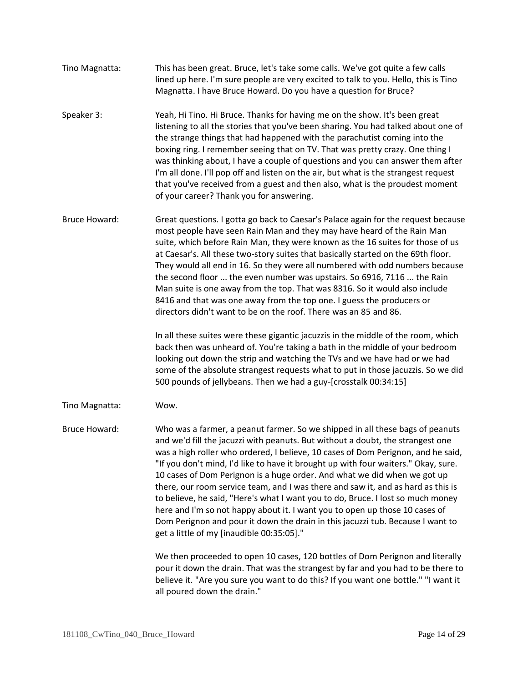- Tino Magnatta: This has been great. Bruce, let's take some calls. We've got quite a few calls lined up here. I'm sure people are very excited to talk to you. Hello, this is Tino Magnatta. I have Bruce Howard. Do you have a question for Bruce?
- Speaker 3: Yeah, Hi Tino. Hi Bruce. Thanks for having me on the show. It's been great listening to all the stories that you've been sharing. You had talked about one of the strange things that had happened with the parachutist coming into the boxing ring. I remember seeing that on TV. That was pretty crazy. One thing I was thinking about, I have a couple of questions and you can answer them after I'm all done. I'll pop off and listen on the air, but what is the strangest request that you've received from a guest and then also, what is the proudest moment of your career? Thank you for answering.
- Bruce Howard: Great questions. I gotta go back to Caesar's Palace again for the request because most people have seen Rain Man and they may have heard of the Rain Man suite, which before Rain Man, they were known as the 16 suites for those of us at Caesar's. All these two-story suites that basically started on the 69th floor. They would all end in 16. So they were all numbered with odd numbers because the second floor ... the even number was upstairs. So 6916, 7116 ... the Rain Man suite is one away from the top. That was 8316. So it would also include 8416 and that was one away from the top one. I guess the producers or directors didn't want to be on the roof. There was an 85 and 86.

In all these suites were these gigantic jacuzzis in the middle of the room, which back then was unheard of. You're taking a bath in the middle of your bedroom looking out down the strip and watching the TVs and we have had or we had some of the absolute strangest requests what to put in those jacuzzis. So we did 500 pounds of jellybeans. Then we had a guy-[crosstalk 00:34:15]

Tino Magnatta: Wow.

Bruce Howard: Who was a farmer, a peanut farmer. So we shipped in all these bags of peanuts and we'd fill the jacuzzi with peanuts. But without a doubt, the strangest one was a high roller who ordered, I believe, 10 cases of Dom Perignon, and he said, "If you don't mind, I'd like to have it brought up with four waiters." Okay, sure. 10 cases of Dom Perignon is a huge order. And what we did when we got up there, our room service team, and I was there and saw it, and as hard as this is to believe, he said, "Here's what I want you to do, Bruce. I lost so much money here and I'm so not happy about it. I want you to open up those 10 cases of Dom Perignon and pour it down the drain in this jacuzzi tub. Because I want to get a little of my [inaudible 00:35:05]."

> We then proceeded to open 10 cases, 120 bottles of Dom Perignon and literally pour it down the drain. That was the strangest by far and you had to be there to believe it. "Are you sure you want to do this? If you want one bottle." "I want it all poured down the drain."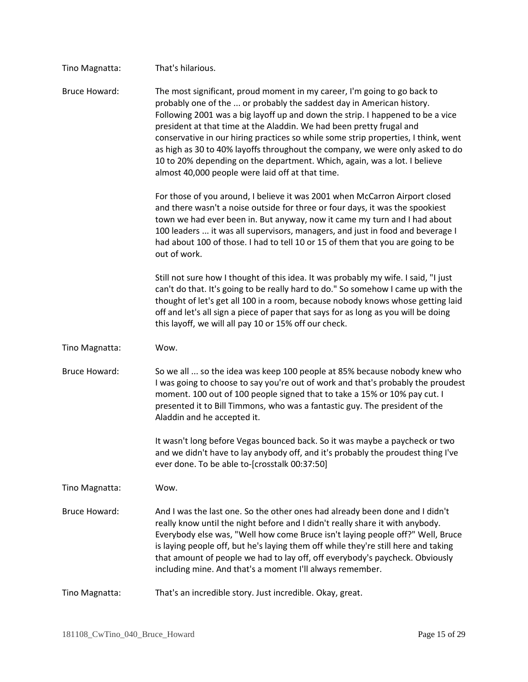| Tino Magnatta:       | That's hilarious.                                                                                                                                                                                                                                                                                                                                                                                                                                                                                                                                                                                                   |
|----------------------|---------------------------------------------------------------------------------------------------------------------------------------------------------------------------------------------------------------------------------------------------------------------------------------------------------------------------------------------------------------------------------------------------------------------------------------------------------------------------------------------------------------------------------------------------------------------------------------------------------------------|
| <b>Bruce Howard:</b> | The most significant, proud moment in my career, I'm going to go back to<br>probably one of the  or probably the saddest day in American history.<br>Following 2001 was a big layoff up and down the strip. I happened to be a vice<br>president at that time at the Aladdin. We had been pretty frugal and<br>conservative in our hiring practices so while some strip properties, I think, went<br>as high as 30 to 40% layoffs throughout the company, we were only asked to do<br>10 to 20% depending on the department. Which, again, was a lot. I believe<br>almost 40,000 people were laid off at that time. |
|                      | For those of you around, I believe it was 2001 when McCarron Airport closed<br>and there wasn't a noise outside for three or four days, it was the spookiest<br>town we had ever been in. But anyway, now it came my turn and I had about<br>100 leaders  it was all supervisors, managers, and just in food and beverage I<br>had about 100 of those. I had to tell 10 or 15 of them that you are going to be<br>out of work.                                                                                                                                                                                      |
|                      | Still not sure how I thought of this idea. It was probably my wife. I said, "I just<br>can't do that. It's going to be really hard to do." So somehow I came up with the<br>thought of let's get all 100 in a room, because nobody knows whose getting laid<br>off and let's all sign a piece of paper that says for as long as you will be doing<br>this layoff, we will all pay 10 or 15% off our check.                                                                                                                                                                                                          |
| Tino Magnatta:       | Wow.                                                                                                                                                                                                                                                                                                                                                                                                                                                                                                                                                                                                                |
| <b>Bruce Howard:</b> | So we all  so the idea was keep 100 people at 85% because nobody knew who<br>I was going to choose to say you're out of work and that's probably the proudest<br>moment. 100 out of 100 people signed that to take a 15% or 10% pay cut. I<br>presented it to Bill Timmons, who was a fantastic guy. The president of the<br>Aladdin and he accepted it.                                                                                                                                                                                                                                                            |
|                      | It wasn't long before Vegas bounced back. So it was maybe a paycheck or two<br>and we didn't have to lay anybody off, and it's probably the proudest thing I've<br>ever done. To be able to-[crosstalk 00:37:50]                                                                                                                                                                                                                                                                                                                                                                                                    |
| Tino Magnatta:       | Wow.                                                                                                                                                                                                                                                                                                                                                                                                                                                                                                                                                                                                                |
| <b>Bruce Howard:</b> | And I was the last one. So the other ones had already been done and I didn't<br>really know until the night before and I didn't really share it with anybody.<br>Everybody else was, "Well how come Bruce isn't laying people off?" Well, Bruce<br>is laying people off, but he's laying them off while they're still here and taking<br>that amount of people we had to lay off, off everybody's paycheck. Obviously<br>including mine. And that's a moment I'll always remember.                                                                                                                                  |
| Tino Magnatta:       | That's an incredible story. Just incredible. Okay, great.                                                                                                                                                                                                                                                                                                                                                                                                                                                                                                                                                           |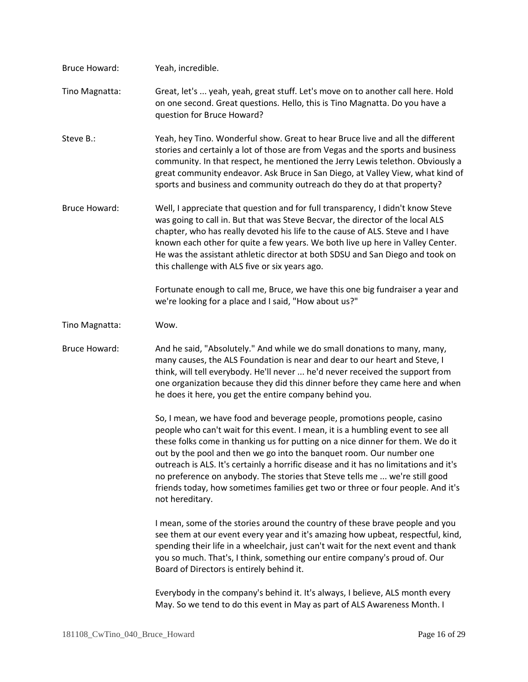| <b>Bruce Howard:</b> | Yeah, incredible.                                                                                                                                                                                                                                                                                                                                                                                                                                                                                                                                                                                   |
|----------------------|-----------------------------------------------------------------------------------------------------------------------------------------------------------------------------------------------------------------------------------------------------------------------------------------------------------------------------------------------------------------------------------------------------------------------------------------------------------------------------------------------------------------------------------------------------------------------------------------------------|
| Tino Magnatta:       | Great, let's  yeah, yeah, great stuff. Let's move on to another call here. Hold<br>on one second. Great questions. Hello, this is Tino Magnatta. Do you have a<br>question for Bruce Howard?                                                                                                                                                                                                                                                                                                                                                                                                        |
| Steve B.:            | Yeah, hey Tino. Wonderful show. Great to hear Bruce live and all the different<br>stories and certainly a lot of those are from Vegas and the sports and business<br>community. In that respect, he mentioned the Jerry Lewis telethon. Obviously a<br>great community endeavor. Ask Bruce in San Diego, at Valley View, what kind of<br>sports and business and community outreach do they do at that property?                                                                                                                                                                                    |
| <b>Bruce Howard:</b> | Well, I appreciate that question and for full transparency, I didn't know Steve<br>was going to call in. But that was Steve Becvar, the director of the local ALS<br>chapter, who has really devoted his life to the cause of ALS. Steve and I have<br>known each other for quite a few years. We both live up here in Valley Center.<br>He was the assistant athletic director at both SDSU and San Diego and took on<br>this challenge with ALS five or six years ago.                                                                                                                            |
|                      | Fortunate enough to call me, Bruce, we have this one big fundraiser a year and<br>we're looking for a place and I said, "How about us?"                                                                                                                                                                                                                                                                                                                                                                                                                                                             |
| Tino Magnatta:       | Wow.                                                                                                                                                                                                                                                                                                                                                                                                                                                                                                                                                                                                |
| <b>Bruce Howard:</b> | And he said, "Absolutely." And while we do small donations to many, many,<br>many causes, the ALS Foundation is near and dear to our heart and Steve, I<br>think, will tell everybody. He'll never  he'd never received the support from<br>one organization because they did this dinner before they came here and when<br>he does it here, you get the entire company behind you.                                                                                                                                                                                                                 |
|                      | So, I mean, we have food and beverage people, promotions people, casino<br>people who can't wait for this event. I mean, it is a humbling event to see all<br>these folks come in thanking us for putting on a nice dinner for them. We do it<br>out by the pool and then we go into the banquet room. Our number one<br>outreach is ALS. It's certainly a horrific disease and it has no limitations and it's<br>no preference on anybody. The stories that Steve tells me  we're still good<br>friends today, how sometimes families get two or three or four people. And it's<br>not hereditary. |
|                      | I mean, some of the stories around the country of these brave people and you<br>see them at our event every year and it's amazing how upbeat, respectful, kind,<br>spending their life in a wheelchair, just can't wait for the next event and thank<br>you so much. That's, I think, something our entire company's proud of. Our<br>Board of Directors is entirely behind it.                                                                                                                                                                                                                     |
|                      | Everybody in the company's behind it. It's always, I believe, ALS month every<br>May. So we tend to do this event in May as part of ALS Awareness Month. I                                                                                                                                                                                                                                                                                                                                                                                                                                          |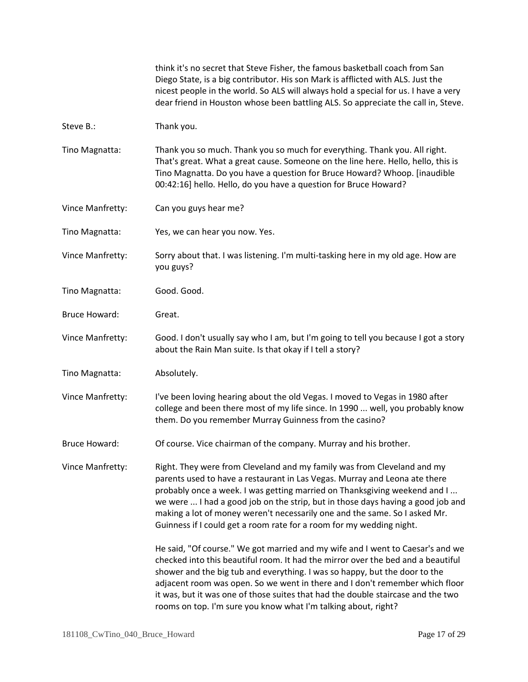|                      | think it's no secret that Steve Fisher, the famous basketball coach from San<br>Diego State, is a big contributor. His son Mark is afflicted with ALS. Just the<br>nicest people in the world. So ALS will always hold a special for us. I have a very<br>dear friend in Houston whose been battling ALS. So appreciate the call in, Steve.                                                                                                                                            |
|----------------------|----------------------------------------------------------------------------------------------------------------------------------------------------------------------------------------------------------------------------------------------------------------------------------------------------------------------------------------------------------------------------------------------------------------------------------------------------------------------------------------|
| Steve B.:            | Thank you.                                                                                                                                                                                                                                                                                                                                                                                                                                                                             |
| Tino Magnatta:       | Thank you so much. Thank you so much for everything. Thank you. All right.<br>That's great. What a great cause. Someone on the line here. Hello, hello, this is<br>Tino Magnatta. Do you have a question for Bruce Howard? Whoop. [inaudible<br>00:42:16] hello. Hello, do you have a question for Bruce Howard?                                                                                                                                                                       |
| Vince Manfretty:     | Can you guys hear me?                                                                                                                                                                                                                                                                                                                                                                                                                                                                  |
| Tino Magnatta:       | Yes, we can hear you now. Yes.                                                                                                                                                                                                                                                                                                                                                                                                                                                         |
| Vince Manfretty:     | Sorry about that. I was listening. I'm multi-tasking here in my old age. How are<br>you guys?                                                                                                                                                                                                                                                                                                                                                                                          |
| Tino Magnatta:       | Good. Good.                                                                                                                                                                                                                                                                                                                                                                                                                                                                            |
| <b>Bruce Howard:</b> | Great.                                                                                                                                                                                                                                                                                                                                                                                                                                                                                 |
| Vince Manfretty:     | Good. I don't usually say who I am, but I'm going to tell you because I got a story<br>about the Rain Man suite. Is that okay if I tell a story?                                                                                                                                                                                                                                                                                                                                       |
| Tino Magnatta:       | Absolutely.                                                                                                                                                                                                                                                                                                                                                                                                                                                                            |
| Vince Manfretty:     | I've been loving hearing about the old Vegas. I moved to Vegas in 1980 after<br>college and been there most of my life since. In 1990  well, you probably know<br>them. Do you remember Murray Guinness from the casino?                                                                                                                                                                                                                                                               |
| Bruce Howard:        | Of course. Vice chairman of the company. Murray and his brother.                                                                                                                                                                                                                                                                                                                                                                                                                       |
| Vince Manfretty:     | Right. They were from Cleveland and my family was from Cleveland and my<br>parents used to have a restaurant in Las Vegas. Murray and Leona ate there<br>probably once a week. I was getting married on Thanksgiving weekend and I<br>we were  I had a good job on the strip, but in those days having a good job and<br>making a lot of money weren't necessarily one and the same. So I asked Mr.<br>Guinness if I could get a room rate for a room for my wedding night.            |
|                      | He said, "Of course." We got married and my wife and I went to Caesar's and we<br>checked into this beautiful room. It had the mirror over the bed and a beautiful<br>shower and the big tub and everything. I was so happy, but the door to the<br>adjacent room was open. So we went in there and I don't remember which floor<br>it was, but it was one of those suites that had the double staircase and the two<br>rooms on top. I'm sure you know what I'm talking about, right? |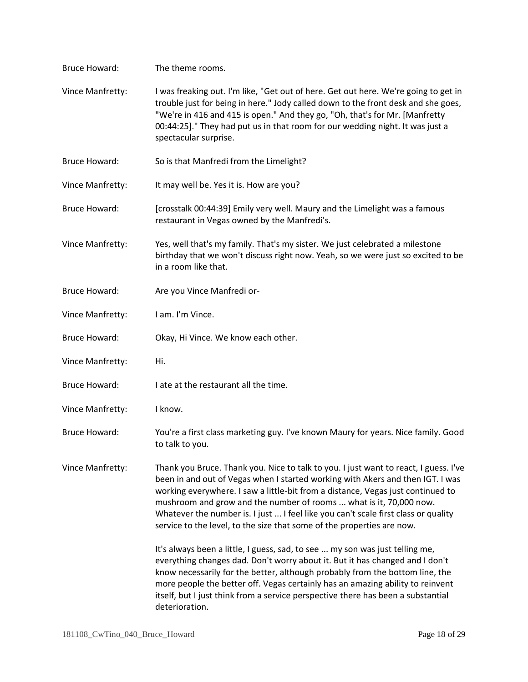| <b>Bruce Howard:</b> | The theme rooms.                                                                                                                                                                                                                                                                                                                                                                                                                                                                                |
|----------------------|-------------------------------------------------------------------------------------------------------------------------------------------------------------------------------------------------------------------------------------------------------------------------------------------------------------------------------------------------------------------------------------------------------------------------------------------------------------------------------------------------|
| Vince Manfretty:     | I was freaking out. I'm like, "Get out of here. Get out here. We're going to get in<br>trouble just for being in here." Jody called down to the front desk and she goes,<br>"We're in 416 and 415 is open." And they go, "Oh, that's for Mr. [Manfretty<br>00:44:25]." They had put us in that room for our wedding night. It was just a<br>spectacular surprise.                                                                                                                               |
| <b>Bruce Howard:</b> | So is that Manfredi from the Limelight?                                                                                                                                                                                                                                                                                                                                                                                                                                                         |
| Vince Manfretty:     | It may well be. Yes it is. How are you?                                                                                                                                                                                                                                                                                                                                                                                                                                                         |
| <b>Bruce Howard:</b> | [crosstalk 00:44:39] Emily very well. Maury and the Limelight was a famous<br>restaurant in Vegas owned by the Manfredi's.                                                                                                                                                                                                                                                                                                                                                                      |
| Vince Manfretty:     | Yes, well that's my family. That's my sister. We just celebrated a milestone<br>birthday that we won't discuss right now. Yeah, so we were just so excited to be<br>in a room like that.                                                                                                                                                                                                                                                                                                        |
| <b>Bruce Howard:</b> | Are you Vince Manfredi or-                                                                                                                                                                                                                                                                                                                                                                                                                                                                      |
| Vince Manfretty:     | I am. I'm Vince.                                                                                                                                                                                                                                                                                                                                                                                                                                                                                |
| <b>Bruce Howard:</b> | Okay, Hi Vince. We know each other.                                                                                                                                                                                                                                                                                                                                                                                                                                                             |
| Vince Manfretty:     | Hi.                                                                                                                                                                                                                                                                                                                                                                                                                                                                                             |
| <b>Bruce Howard:</b> | I ate at the restaurant all the time.                                                                                                                                                                                                                                                                                                                                                                                                                                                           |
| Vince Manfretty:     | I know.                                                                                                                                                                                                                                                                                                                                                                                                                                                                                         |
| <b>Bruce Howard:</b> | You're a first class marketing guy. I've known Maury for years. Nice family. Good<br>to talk to you.                                                                                                                                                                                                                                                                                                                                                                                            |
| Vince Manfretty:     | Thank you Bruce. Thank you. Nice to talk to you. I just want to react, I guess. I've<br>been in and out of Vegas when I started working with Akers and then IGT. I was<br>working everywhere. I saw a little-bit from a distance, Vegas just continued to<br>mushroom and grow and the number of rooms  what is it, 70,000 now.<br>Whatever the number is. I just  I feel like you can't scale first class or quality<br>service to the level, to the size that some of the properties are now. |
|                      | It's always been a little, I guess, sad, to see  my son was just telling me,<br>everything changes dad. Don't worry about it. But it has changed and I don't<br>know necessarily for the better, although probably from the bottom line, the<br>more people the better off. Vegas certainly has an amazing ability to reinvent<br>itself, but I just think from a service perspective there has been a substantial<br>deterioration.                                                            |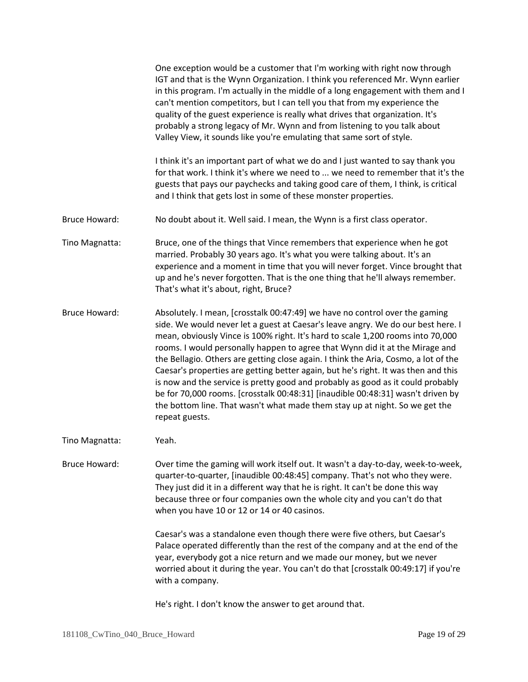|                      | One exception would be a customer that I'm working with right now through<br>IGT and that is the Wynn Organization. I think you referenced Mr. Wynn earlier<br>in this program. I'm actually in the middle of a long engagement with them and I<br>can't mention competitors, but I can tell you that from my experience the<br>quality of the guest experience is really what drives that organization. It's<br>probably a strong legacy of Mr. Wynn and from listening to you talk about<br>Valley View, it sounds like you're emulating that same sort of style.                                                                                                                                                                                                                    |
|----------------------|----------------------------------------------------------------------------------------------------------------------------------------------------------------------------------------------------------------------------------------------------------------------------------------------------------------------------------------------------------------------------------------------------------------------------------------------------------------------------------------------------------------------------------------------------------------------------------------------------------------------------------------------------------------------------------------------------------------------------------------------------------------------------------------|
|                      | I think it's an important part of what we do and I just wanted to say thank you<br>for that work. I think it's where we need to  we need to remember that it's the<br>guests that pays our paychecks and taking good care of them, I think, is critical<br>and I think that gets lost in some of these monster properties.                                                                                                                                                                                                                                                                                                                                                                                                                                                             |
| <b>Bruce Howard:</b> | No doubt about it. Well said. I mean, the Wynn is a first class operator.                                                                                                                                                                                                                                                                                                                                                                                                                                                                                                                                                                                                                                                                                                              |
| Tino Magnatta:       | Bruce, one of the things that Vince remembers that experience when he got<br>married. Probably 30 years ago. It's what you were talking about. It's an<br>experience and a moment in time that you will never forget. Vince brought that<br>up and he's never forgotten. That is the one thing that he'll always remember.<br>That's what it's about, right, Bruce?                                                                                                                                                                                                                                                                                                                                                                                                                    |
| <b>Bruce Howard:</b> | Absolutely. I mean, [crosstalk 00:47:49] we have no control over the gaming<br>side. We would never let a guest at Caesar's leave angry. We do our best here. I<br>mean, obviously Vince is 100% right. It's hard to scale 1,200 rooms into 70,000<br>rooms. I would personally happen to agree that Wynn did it at the Mirage and<br>the Bellagio. Others are getting close again. I think the Aria, Cosmo, a lot of the<br>Caesar's properties are getting better again, but he's right. It was then and this<br>is now and the service is pretty good and probably as good as it could probably<br>be for 70,000 rooms. [crosstalk 00:48:31] [inaudible 00:48:31] wasn't driven by<br>the bottom line. That wasn't what made them stay up at night. So we get the<br>repeat guests. |
| Tino Magnatta:       | Yeah.                                                                                                                                                                                                                                                                                                                                                                                                                                                                                                                                                                                                                                                                                                                                                                                  |
| <b>Bruce Howard:</b> | Over time the gaming will work itself out. It wasn't a day-to-day, week-to-week,<br>quarter-to-quarter, [inaudible 00:48:45] company. That's not who they were.<br>They just did it in a different way that he is right. It can't be done this way<br>because three or four companies own the whole city and you can't do that<br>when you have 10 or 12 or 14 or 40 casinos.                                                                                                                                                                                                                                                                                                                                                                                                          |
|                      | Caesar's was a standalone even though there were five others, but Caesar's<br>Palace operated differently than the rest of the company and at the end of the<br>year, everybody got a nice return and we made our money, but we never<br>worried about it during the year. You can't do that [crosstalk 00:49:17] if you're<br>with a company.                                                                                                                                                                                                                                                                                                                                                                                                                                         |

He's right. I don't know the answer to get around that.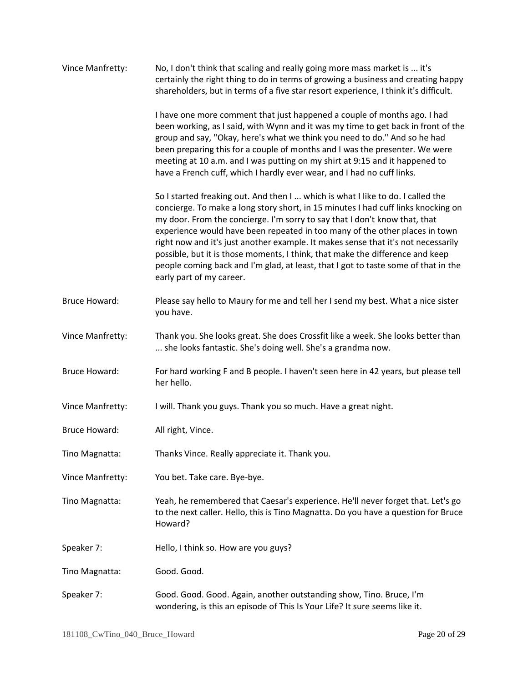| Vince Manfretty:     | No, I don't think that scaling and really going more mass market is  it's<br>certainly the right thing to do in terms of growing a business and creating happy<br>shareholders, but in terms of a five star resort experience, I think it's difficult.                                                                                                                                                                                                                                                                                                                                                                    |
|----------------------|---------------------------------------------------------------------------------------------------------------------------------------------------------------------------------------------------------------------------------------------------------------------------------------------------------------------------------------------------------------------------------------------------------------------------------------------------------------------------------------------------------------------------------------------------------------------------------------------------------------------------|
|                      | I have one more comment that just happened a couple of months ago. I had<br>been working, as I said, with Wynn and it was my time to get back in front of the<br>group and say, "Okay, here's what we think you need to do." And so he had<br>been preparing this for a couple of months and I was the presenter. We were<br>meeting at 10 a.m. and I was putting on my shirt at 9:15 and it happened to<br>have a French cuff, which I hardly ever wear, and I had no cuff links.                                                                                                                                        |
|                      | So I started freaking out. And then I  which is what I like to do. I called the<br>concierge. To make a long story short, in 15 minutes I had cuff links knocking on<br>my door. From the concierge. I'm sorry to say that I don't know that, that<br>experience would have been repeated in too many of the other places in town<br>right now and it's just another example. It makes sense that it's not necessarily<br>possible, but it is those moments, I think, that make the difference and keep<br>people coming back and I'm glad, at least, that I got to taste some of that in the<br>early part of my career. |
| <b>Bruce Howard:</b> | Please say hello to Maury for me and tell her I send my best. What a nice sister<br>you have.                                                                                                                                                                                                                                                                                                                                                                                                                                                                                                                             |
| Vince Manfretty:     | Thank you. She looks great. She does Crossfit like a week. She looks better than<br>she looks fantastic. She's doing well. She's a grandma now.                                                                                                                                                                                                                                                                                                                                                                                                                                                                           |
| <b>Bruce Howard:</b> | For hard working F and B people. I haven't seen here in 42 years, but please tell<br>her hello.                                                                                                                                                                                                                                                                                                                                                                                                                                                                                                                           |
| Vince Manfretty:     | I will. Thank you guys. Thank you so much. Have a great night.                                                                                                                                                                                                                                                                                                                                                                                                                                                                                                                                                            |
| <b>Bruce Howard:</b> | All right, Vince.                                                                                                                                                                                                                                                                                                                                                                                                                                                                                                                                                                                                         |
| Tino Magnatta:       | Thanks Vince. Really appreciate it. Thank you.                                                                                                                                                                                                                                                                                                                                                                                                                                                                                                                                                                            |
| Vince Manfretty:     | You bet. Take care. Bye-bye.                                                                                                                                                                                                                                                                                                                                                                                                                                                                                                                                                                                              |
| Tino Magnatta:       | Yeah, he remembered that Caesar's experience. He'll never forget that. Let's go<br>to the next caller. Hello, this is Tino Magnatta. Do you have a question for Bruce<br>Howard?                                                                                                                                                                                                                                                                                                                                                                                                                                          |
| Speaker 7:           | Hello, I think so. How are you guys?                                                                                                                                                                                                                                                                                                                                                                                                                                                                                                                                                                                      |
| Tino Magnatta:       | Good. Good.                                                                                                                                                                                                                                                                                                                                                                                                                                                                                                                                                                                                               |
| Speaker 7:           | Good. Good. Good. Again, another outstanding show, Tino. Bruce, I'm<br>wondering, is this an episode of This Is Your Life? It sure seems like it.                                                                                                                                                                                                                                                                                                                                                                                                                                                                         |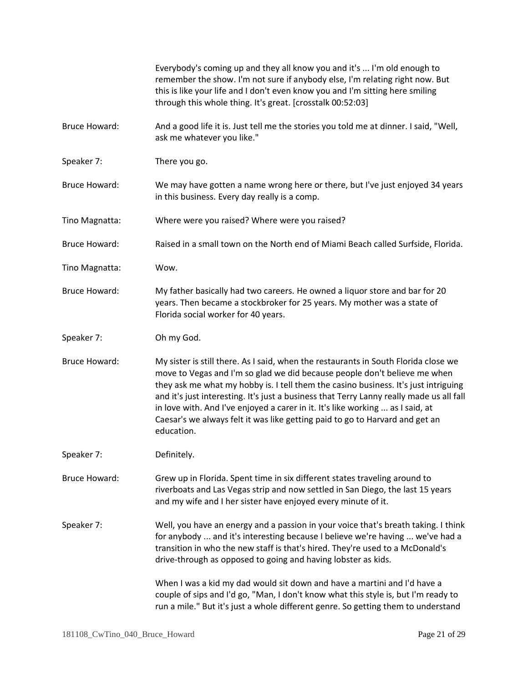|                      | Everybody's coming up and they all know you and it's  I'm old enough to<br>remember the show. I'm not sure if anybody else, I'm relating right now. But<br>this is like your life and I don't even know you and I'm sitting here smiling<br>through this whole thing. It's great. [crosstalk 00:52:03]                                                                                                                                                                                                                              |
|----------------------|-------------------------------------------------------------------------------------------------------------------------------------------------------------------------------------------------------------------------------------------------------------------------------------------------------------------------------------------------------------------------------------------------------------------------------------------------------------------------------------------------------------------------------------|
| <b>Bruce Howard:</b> | And a good life it is. Just tell me the stories you told me at dinner. I said, "Well,<br>ask me whatever you like."                                                                                                                                                                                                                                                                                                                                                                                                                 |
| Speaker 7:           | There you go.                                                                                                                                                                                                                                                                                                                                                                                                                                                                                                                       |
| <b>Bruce Howard:</b> | We may have gotten a name wrong here or there, but I've just enjoyed 34 years<br>in this business. Every day really is a comp.                                                                                                                                                                                                                                                                                                                                                                                                      |
| Tino Magnatta:       | Where were you raised? Where were you raised?                                                                                                                                                                                                                                                                                                                                                                                                                                                                                       |
| <b>Bruce Howard:</b> | Raised in a small town on the North end of Miami Beach called Surfside, Florida.                                                                                                                                                                                                                                                                                                                                                                                                                                                    |
| Tino Magnatta:       | Wow.                                                                                                                                                                                                                                                                                                                                                                                                                                                                                                                                |
| <b>Bruce Howard:</b> | My father basically had two careers. He owned a liquor store and bar for 20<br>years. Then became a stockbroker for 25 years. My mother was a state of<br>Florida social worker for 40 years.                                                                                                                                                                                                                                                                                                                                       |
| Speaker 7:           | Oh my God.                                                                                                                                                                                                                                                                                                                                                                                                                                                                                                                          |
| <b>Bruce Howard:</b> | My sister is still there. As I said, when the restaurants in South Florida close we<br>move to Vegas and I'm so glad we did because people don't believe me when<br>they ask me what my hobby is. I tell them the casino business. It's just intriguing<br>and it's just interesting. It's just a business that Terry Lanny really made us all fall<br>in love with. And I've enjoyed a carer in it. It's like working  as I said, at<br>Caesar's we always felt it was like getting paid to go to Harvard and get an<br>education. |
| Speaker 7:           | Definitely.                                                                                                                                                                                                                                                                                                                                                                                                                                                                                                                         |
| <b>Bruce Howard:</b> | Grew up in Florida. Spent time in six different states traveling around to<br>riverboats and Las Vegas strip and now settled in San Diego, the last 15 years<br>and my wife and I her sister have enjoyed every minute of it.                                                                                                                                                                                                                                                                                                       |
| Speaker 7:           | Well, you have an energy and a passion in your voice that's breath taking. I think<br>for anybody  and it's interesting because I believe we're having  we've had a<br>transition in who the new staff is that's hired. They're used to a McDonald's<br>drive-through as opposed to going and having lobster as kids.                                                                                                                                                                                                               |
|                      | When I was a kid my dad would sit down and have a martini and I'd have a<br>couple of sips and I'd go, "Man, I don't know what this style is, but I'm ready to<br>run a mile." But it's just a whole different genre. So getting them to understand                                                                                                                                                                                                                                                                                 |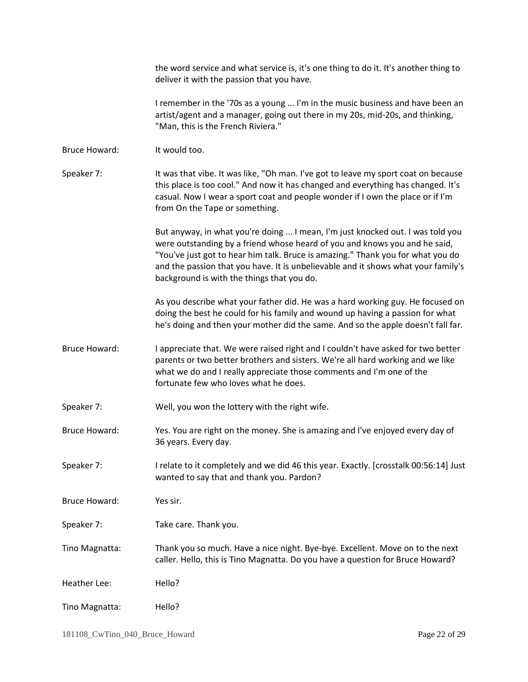the word service and what service is, it's one thing to do it. It's another thing to deliver it with the passion that you have.

I remember in the '70s as a young ... I'm in the music business and have been an artist/agent and a manager, going out there in my 20s, mid-20s, and thinking, "Man, this is the French Riviera."

Bruce Howard: It would too.

Speaker 7: It was that vibe. It was like, "Oh man. I've got to leave my sport coat on because this place is too cool." And now it has changed and everything has changed. It's casual. Now I wear a sport coat and people wonder if I own the place or if I'm from On the Tape or something.

> But anyway, in what you're doing ... I mean, I'm just knocked out. I was told you were outstanding by a friend whose heard of you and knows you and he said, "You've just got to hear him talk. Bruce is amazing." Thank you for what you do and the passion that you have. It is unbelievable and it shows what your family's background is with the things that you do.

> As you describe what your father did. He was a hard working guy. He focused on doing the best he could for his family and wound up having a passion for what he's doing and then your mother did the same. And so the apple doesn't fall far.

Bruce Howard: I appreciate that. We were raised right and I couldn't have asked for two better parents or two better brothers and sisters. We're all hard working and we like what we do and I really appreciate those comments and I'm one of the fortunate few who loves what he does.

Speaker 7: Well, you won the lottery with the right wife.

Bruce Howard: Yes. You are right on the money. She is amazing and I've enjoyed every day of 36 years. Every day.

Speaker 7: I relate to it completely and we did 46 this year. Exactly. [crosstalk 00:56:14] Just wanted to say that and thank you. Pardon?

Bruce Howard: Yes sir.

Speaker 7: Take care. Thank you.

Tino Magnatta: Thank you so much. Have a nice night. Bye-bye. Excellent. Move on to the next caller. Hello, this is Tino Magnatta. Do you have a question for Bruce Howard?

Heather Lee: Hello?

Tino Magnatta: Hello?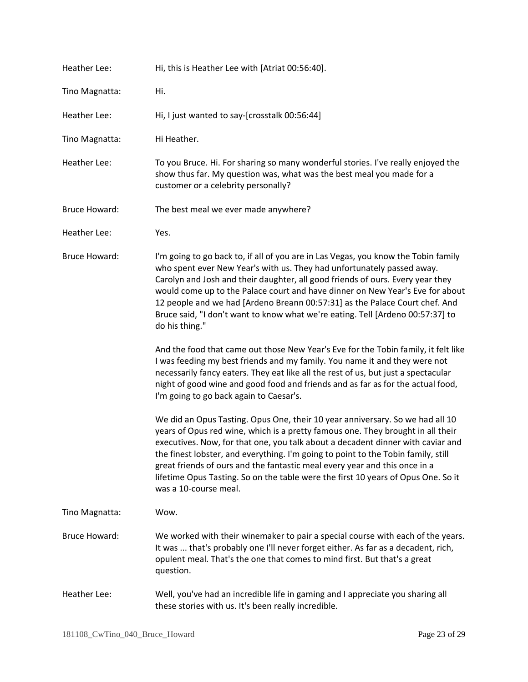| <b>Heather Lee:</b>  | Hi, this is Heather Lee with [Atriat 00:56:40].                                                                                                                                                                                                                                                                                                                                                                                                                                                                                      |
|----------------------|--------------------------------------------------------------------------------------------------------------------------------------------------------------------------------------------------------------------------------------------------------------------------------------------------------------------------------------------------------------------------------------------------------------------------------------------------------------------------------------------------------------------------------------|
| Tino Magnatta:       | Hi.                                                                                                                                                                                                                                                                                                                                                                                                                                                                                                                                  |
| Heather Lee:         | Hi, I just wanted to say-[crosstalk 00:56:44]                                                                                                                                                                                                                                                                                                                                                                                                                                                                                        |
| Tino Magnatta:       | Hi Heather.                                                                                                                                                                                                                                                                                                                                                                                                                                                                                                                          |
| Heather Lee:         | To you Bruce. Hi. For sharing so many wonderful stories. I've really enjoyed the<br>show thus far. My question was, what was the best meal you made for a<br>customer or a celebrity personally?                                                                                                                                                                                                                                                                                                                                     |
| <b>Bruce Howard:</b> | The best meal we ever made anywhere?                                                                                                                                                                                                                                                                                                                                                                                                                                                                                                 |
| Heather Lee:         | Yes.                                                                                                                                                                                                                                                                                                                                                                                                                                                                                                                                 |
| <b>Bruce Howard:</b> | I'm going to go back to, if all of you are in Las Vegas, you know the Tobin family<br>who spent ever New Year's with us. They had unfortunately passed away.<br>Carolyn and Josh and their daughter, all good friends of ours. Every year they<br>would come up to the Palace court and have dinner on New Year's Eve for about<br>12 people and we had [Ardeno Breann 00:57:31] as the Palace Court chef. And<br>Bruce said, "I don't want to know what we're eating. Tell [Ardeno 00:57:37] to<br>do his thing."                   |
|                      | And the food that came out those New Year's Eve for the Tobin family, it felt like<br>I was feeding my best friends and my family. You name it and they were not<br>necessarily fancy eaters. They eat like all the rest of us, but just a spectacular<br>night of good wine and good food and friends and as far as for the actual food,<br>I'm going to go back again to Caesar's.                                                                                                                                                 |
|                      | We did an Opus Tasting. Opus One, their 10 year anniversary. So we had all 10<br>years of Opus red wine, which is a pretty famous one. They brought in all their<br>executives. Now, for that one, you talk about a decadent dinner with caviar and<br>the finest lobster, and everything. I'm going to point to the Tobin family, still<br>great friends of ours and the fantastic meal every year and this once in a<br>lifetime Opus Tasting. So on the table were the first 10 years of Opus One. So it<br>was a 10-course meal. |
| Tino Magnatta:       | Wow.                                                                                                                                                                                                                                                                                                                                                                                                                                                                                                                                 |
| <b>Bruce Howard:</b> | We worked with their winemaker to pair a special course with each of the years.<br>It was  that's probably one I'll never forget either. As far as a decadent, rich,<br>opulent meal. That's the one that comes to mind first. But that's a great<br>question.                                                                                                                                                                                                                                                                       |
| Heather Lee:         | Well, you've had an incredible life in gaming and I appreciate you sharing all<br>these stories with us. It's been really incredible.                                                                                                                                                                                                                                                                                                                                                                                                |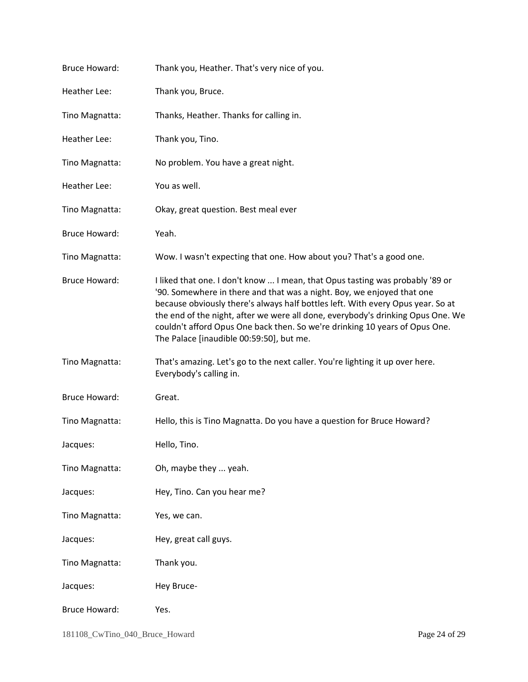| <b>Bruce Howard:</b> | Thank you, Heather. That's very nice of you.                                                                                                                                                                                                                                                                                                                                                                                                             |
|----------------------|----------------------------------------------------------------------------------------------------------------------------------------------------------------------------------------------------------------------------------------------------------------------------------------------------------------------------------------------------------------------------------------------------------------------------------------------------------|
| Heather Lee:         | Thank you, Bruce.                                                                                                                                                                                                                                                                                                                                                                                                                                        |
| Tino Magnatta:       | Thanks, Heather. Thanks for calling in.                                                                                                                                                                                                                                                                                                                                                                                                                  |
| Heather Lee:         | Thank you, Tino.                                                                                                                                                                                                                                                                                                                                                                                                                                         |
| Tino Magnatta:       | No problem. You have a great night.                                                                                                                                                                                                                                                                                                                                                                                                                      |
| <b>Heather Lee:</b>  | You as well.                                                                                                                                                                                                                                                                                                                                                                                                                                             |
| Tino Magnatta:       | Okay, great question. Best meal ever                                                                                                                                                                                                                                                                                                                                                                                                                     |
| <b>Bruce Howard:</b> | Yeah.                                                                                                                                                                                                                                                                                                                                                                                                                                                    |
| Tino Magnatta:       | Wow. I wasn't expecting that one. How about you? That's a good one.                                                                                                                                                                                                                                                                                                                                                                                      |
| <b>Bruce Howard:</b> | I liked that one. I don't know  I mean, that Opus tasting was probably '89 or<br>'90. Somewhere in there and that was a night. Boy, we enjoyed that one<br>because obviously there's always half bottles left. With every Opus year. So at<br>the end of the night, after we were all done, everybody's drinking Opus One. We<br>couldn't afford Opus One back then. So we're drinking 10 years of Opus One.<br>The Palace [inaudible 00:59:50], but me. |
| Tino Magnatta:       | That's amazing. Let's go to the next caller. You're lighting it up over here.<br>Everybody's calling in.                                                                                                                                                                                                                                                                                                                                                 |
| <b>Bruce Howard:</b> | Great.                                                                                                                                                                                                                                                                                                                                                                                                                                                   |
| Tino Magnatta:       | Hello, this is Tino Magnatta. Do you have a question for Bruce Howard?                                                                                                                                                                                                                                                                                                                                                                                   |
| Jacques:             | Hello, Tino.                                                                                                                                                                                                                                                                                                                                                                                                                                             |
| Tino Magnatta:       | Oh, maybe they  yeah.                                                                                                                                                                                                                                                                                                                                                                                                                                    |
| Jacques:             | Hey, Tino. Can you hear me?                                                                                                                                                                                                                                                                                                                                                                                                                              |
| Tino Magnatta:       | Yes, we can.                                                                                                                                                                                                                                                                                                                                                                                                                                             |
| Jacques:             | Hey, great call guys.                                                                                                                                                                                                                                                                                                                                                                                                                                    |
| Tino Magnatta:       | Thank you.                                                                                                                                                                                                                                                                                                                                                                                                                                               |
| Jacques:             | Hey Bruce-                                                                                                                                                                                                                                                                                                                                                                                                                                               |
| <b>Bruce Howard:</b> | Yes.                                                                                                                                                                                                                                                                                                                                                                                                                                                     |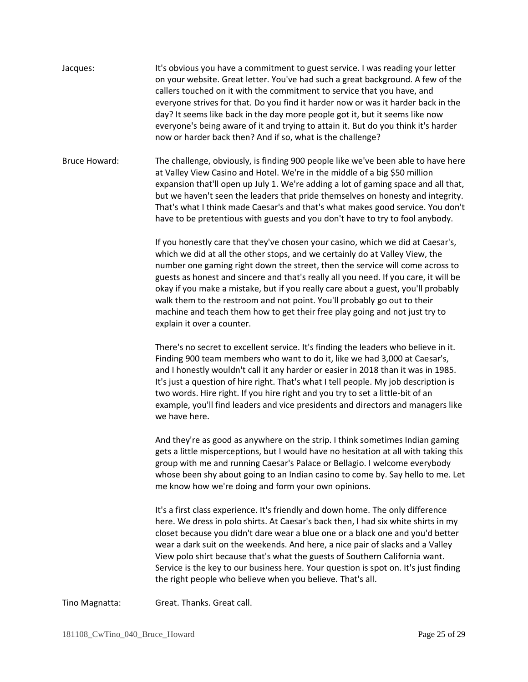Jacques: It's obvious you have a commitment to guest service. I was reading your letter on your website. Great letter. You've had such a great background. A few of the callers touched on it with the commitment to service that you have, and everyone strives for that. Do you find it harder now or was it harder back in the day? It seems like back in the day more people got it, but it seems like now everyone's being aware of it and trying to attain it. But do you think it's harder now or harder back then? And if so, what is the challenge?

Bruce Howard: The challenge, obviously, is finding 900 people like we've been able to have here at Valley View Casino and Hotel. We're in the middle of a big \$50 million expansion that'll open up July 1. We're adding a lot of gaming space and all that, but we haven't seen the leaders that pride themselves on honesty and integrity. That's what I think made Caesar's and that's what makes good service. You don't have to be pretentious with guests and you don't have to try to fool anybody.

> If you honestly care that they've chosen your casino, which we did at Caesar's, which we did at all the other stops, and we certainly do at Valley View, the number one gaming right down the street, then the service will come across to guests as honest and sincere and that's really all you need. If you care, it will be okay if you make a mistake, but if you really care about a guest, you'll probably walk them to the restroom and not point. You'll probably go out to their machine and teach them how to get their free play going and not just try to explain it over a counter.

> There's no secret to excellent service. It's finding the leaders who believe in it. Finding 900 team members who want to do it, like we had 3,000 at Caesar's, and I honestly wouldn't call it any harder or easier in 2018 than it was in 1985. It's just a question of hire right. That's what I tell people. My job description is two words. Hire right. If you hire right and you try to set a little-bit of an example, you'll find leaders and vice presidents and directors and managers like we have here.

And they're as good as anywhere on the strip. I think sometimes Indian gaming gets a little misperceptions, but I would have no hesitation at all with taking this group with me and running Caesar's Palace or Bellagio. I welcome everybody whose been shy about going to an Indian casino to come by. Say hello to me. Let me know how we're doing and form your own opinions.

It's a first class experience. It's friendly and down home. The only difference here. We dress in polo shirts. At Caesar's back then, I had six white shirts in my closet because you didn't dare wear a blue one or a black one and you'd better wear a dark suit on the weekends. And here, a nice pair of slacks and a Valley View polo shirt because that's what the guests of Southern California want. Service is the key to our business here. Your question is spot on. It's just finding the right people who believe when you believe. That's all.

Tino Magnatta: Great. Thanks. Great call.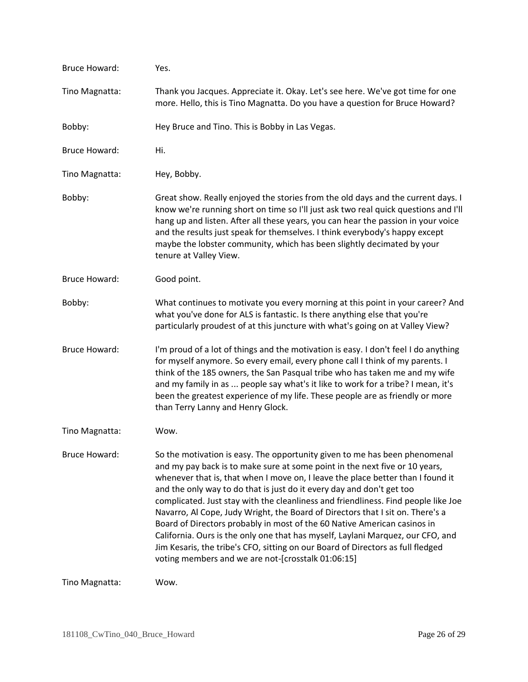| <b>Bruce Howard:</b> | Yes.                                                                                                                                                                                                                                                                                                                                                                                                                                                                                                                                                                                                                                                                                                                                                                                                  |
|----------------------|-------------------------------------------------------------------------------------------------------------------------------------------------------------------------------------------------------------------------------------------------------------------------------------------------------------------------------------------------------------------------------------------------------------------------------------------------------------------------------------------------------------------------------------------------------------------------------------------------------------------------------------------------------------------------------------------------------------------------------------------------------------------------------------------------------|
| Tino Magnatta:       | Thank you Jacques. Appreciate it. Okay. Let's see here. We've got time for one<br>more. Hello, this is Tino Magnatta. Do you have a question for Bruce Howard?                                                                                                                                                                                                                                                                                                                                                                                                                                                                                                                                                                                                                                        |
| Bobby:               | Hey Bruce and Tino. This is Bobby in Las Vegas.                                                                                                                                                                                                                                                                                                                                                                                                                                                                                                                                                                                                                                                                                                                                                       |
| <b>Bruce Howard:</b> | Hi.                                                                                                                                                                                                                                                                                                                                                                                                                                                                                                                                                                                                                                                                                                                                                                                                   |
| Tino Magnatta:       | Hey, Bobby.                                                                                                                                                                                                                                                                                                                                                                                                                                                                                                                                                                                                                                                                                                                                                                                           |
| Bobby:               | Great show. Really enjoyed the stories from the old days and the current days. I<br>know we're running short on time so I'll just ask two real quick questions and I'll<br>hang up and listen. After all these years, you can hear the passion in your voice<br>and the results just speak for themselves. I think everybody's happy except<br>maybe the lobster community, which has been slightly decimated by your<br>tenure at Valley View.                                                                                                                                                                                                                                                                                                                                                       |
| <b>Bruce Howard:</b> | Good point.                                                                                                                                                                                                                                                                                                                                                                                                                                                                                                                                                                                                                                                                                                                                                                                           |
| Bobby:               | What continues to motivate you every morning at this point in your career? And<br>what you've done for ALS is fantastic. Is there anything else that you're<br>particularly proudest of at this juncture with what's going on at Valley View?                                                                                                                                                                                                                                                                                                                                                                                                                                                                                                                                                         |
| <b>Bruce Howard:</b> | I'm proud of a lot of things and the motivation is easy. I don't feel I do anything<br>for myself anymore. So every email, every phone call I think of my parents. I<br>think of the 185 owners, the San Pasqual tribe who has taken me and my wife<br>and my family in as  people say what's it like to work for a tribe? I mean, it's<br>been the greatest experience of my life. These people are as friendly or more<br>than Terry Lanny and Henry Glock.                                                                                                                                                                                                                                                                                                                                         |
| Tino Magnatta:       | Wow.                                                                                                                                                                                                                                                                                                                                                                                                                                                                                                                                                                                                                                                                                                                                                                                                  |
| <b>Bruce Howard:</b> | So the motivation is easy. The opportunity given to me has been phenomenal<br>and my pay back is to make sure at some point in the next five or 10 years,<br>whenever that is, that when I move on, I leave the place better than I found it<br>and the only way to do that is just do it every day and don't get too<br>complicated. Just stay with the cleanliness and friendliness. Find people like Joe<br>Navarro, Al Cope, Judy Wright, the Board of Directors that I sit on. There's a<br>Board of Directors probably in most of the 60 Native American casinos in<br>California. Ours is the only one that has myself, Laylani Marquez, our CFO, and<br>Jim Kesaris, the tribe's CFO, sitting on our Board of Directors as full fledged<br>voting members and we are not-[crosstalk 01:06:15] |
| Tino Magnatta:       | Wow.                                                                                                                                                                                                                                                                                                                                                                                                                                                                                                                                                                                                                                                                                                                                                                                                  |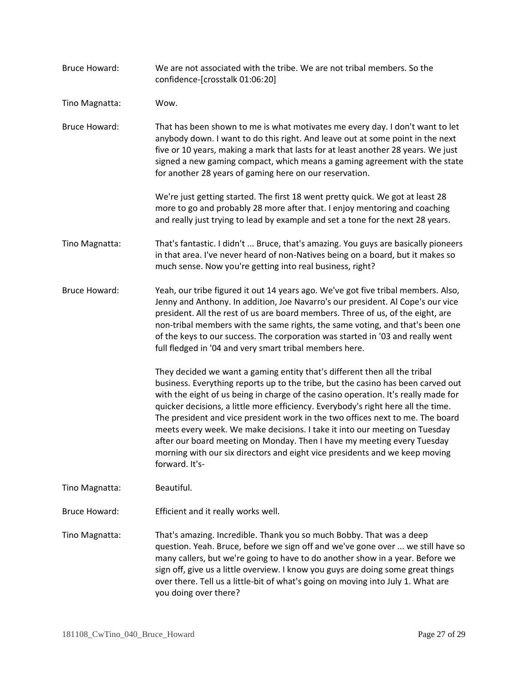Bruce Howard: We are not associated with the tribe. We are not tribal members. So the confidence-[crosstalk 01:06:20] Tino Magnatta: Wow. Bruce Howard: That has been shown to me is what motivates me every day. I don't want to let anybody down. I want to do this right. And leave out at some point in the next five or 10 years, making a mark that lasts for at least another 28 years. We just signed a new gaming compact, which means a gaming agreement with the state for another 28 years of gaming here on our reservation. We're just getting started. The first 18 went pretty quick. We got at least 28 more to go and probably 28 more after that. I enjoy mentoring and coaching and really just trying to lead by example and set a tone for the next 28 years. Tino Magnatta: That's fantastic. I didn't ... Bruce, that's amazing. You guys are basically pioneers in that area. I've never heard of non-Natives being on a board, but it makes so much sense. Now you're getting into real business, right? Bruce Howard: Yeah, our tribe figured it out 14 years ago. We've got five tribal members. Also, Jenny and Anthony. In addition, Joe Navarro's our president. Al Cope's our vice president. All the rest of us are board members. Three of us, of the eight, are non-tribal members with the same rights, the same voting, and that's been one of the keys to our success. The corporation was started in '03 and really went full fledged in '04 and very smart tribal members here. They decided we want a gaming entity that's different then all the tribal business. Everything reports up to the tribe, but the casino has been carved out with the eight of us being in charge of the casino operation. It's really made for quicker decisions, a little more efficiency. Everybody's right here all the time. The president and vice president work in the two offices next to me. The board meets every week. We make decisions. I take it into our meeting on Tuesday after our board meeting on Monday. Then I have my meeting every Tuesday morning with our six directors and eight vice presidents and we keep moving forward. It's-Tino Magnatta: Beautiful. Bruce Howard: Efficient and it really works well. Tino Magnatta: That's amazing. Incredible. Thank you so much Bobby. That was a deep question. Yeah. Bruce, before we sign off and we've gone over ... we still have so many callers, but we're going to have to do another show in a year. Before we sign off, give us a little overview. I know you guys are doing some great things over there. Tell us a little-bit of what's going on moving into July 1. What are you doing over there?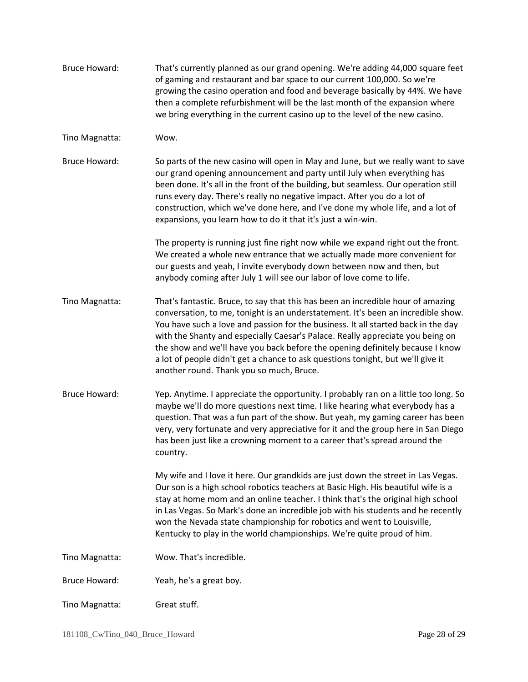| <b>Bruce Howard:</b> | That's currently planned as our grand opening. We're adding 44,000 square feet<br>of gaming and restaurant and bar space to our current 100,000. So we're<br>growing the casino operation and food and beverage basically by 44%. We have<br>then a complete refurbishment will be the last month of the expansion where<br>we bring everything in the current casino up to the level of the new casino.                                                                                                                                                    |
|----------------------|-------------------------------------------------------------------------------------------------------------------------------------------------------------------------------------------------------------------------------------------------------------------------------------------------------------------------------------------------------------------------------------------------------------------------------------------------------------------------------------------------------------------------------------------------------------|
| Tino Magnatta:       | Wow.                                                                                                                                                                                                                                                                                                                                                                                                                                                                                                                                                        |
| <b>Bruce Howard:</b> | So parts of the new casino will open in May and June, but we really want to save<br>our grand opening announcement and party until July when everything has<br>been done. It's all in the front of the building, but seamless. Our operation still<br>runs every day. There's really no negative impact. After you do a lot of<br>construction, which we've done here, and I've done my whole life, and a lot of<br>expansions, you learn how to do it that it's just a win-win.                                                                            |
|                      | The property is running just fine right now while we expand right out the front.<br>We created a whole new entrance that we actually made more convenient for<br>our guests and yeah, I invite everybody down between now and then, but<br>anybody coming after July 1 will see our labor of love come to life.                                                                                                                                                                                                                                             |
| Tino Magnatta:       | That's fantastic. Bruce, to say that this has been an incredible hour of amazing<br>conversation, to me, tonight is an understatement. It's been an incredible show.<br>You have such a love and passion for the business. It all started back in the day<br>with the Shanty and especially Caesar's Palace. Really appreciate you being on<br>the show and we'll have you back before the opening definitely because I know<br>a lot of people didn't get a chance to ask questions tonight, but we'll give it<br>another round. Thank you so much, Bruce. |
| <b>Bruce Howard:</b> | Yep. Anytime. I appreciate the opportunity. I probably ran on a little too long. So<br>maybe we'll do more questions next time. I like hearing what everybody has a<br>question. That was a fun part of the show. But yeah, my gaming career has been<br>very, very fortunate and very appreciative for it and the group here in San Diego<br>has been just like a crowning moment to a career that's spread around the<br>country.                                                                                                                         |
|                      | My wife and I love it here. Our grandkids are just down the street in Las Vegas.<br>Our son is a high school robotics teachers at Basic High. His beautiful wife is a<br>stay at home mom and an online teacher. I think that's the original high school<br>in Las Vegas. So Mark's done an incredible job with his students and he recently<br>won the Nevada state championship for robotics and went to Louisville,<br>Kentucky to play in the world championships. We're quite proud of him.                                                            |
| Tino Magnatta:       | Wow. That's incredible.                                                                                                                                                                                                                                                                                                                                                                                                                                                                                                                                     |
| <b>Bruce Howard:</b> | Yeah, he's a great boy.                                                                                                                                                                                                                                                                                                                                                                                                                                                                                                                                     |
| Tino Magnatta:       | Great stuff.                                                                                                                                                                                                                                                                                                                                                                                                                                                                                                                                                |